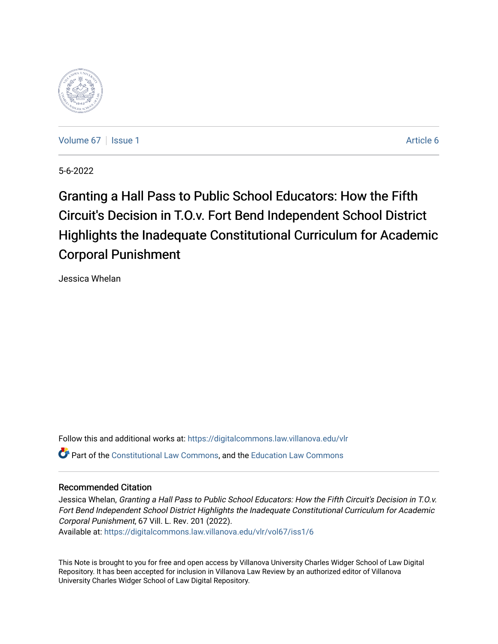

[Volume 67](https://digitalcommons.law.villanova.edu/vlr/vol67) | [Issue 1](https://digitalcommons.law.villanova.edu/vlr/vol67/iss1) Article 6

5-6-2022

Granting a Hall Pass to Public School Educators: How the Fifth Circuit's Decision in T.O.v. Fort Bend Independent School District Highlights the Inadequate Constitutional Curriculum for Academic Corporal Punishment

Jessica Whelan

Follow this and additional works at: [https://digitalcommons.law.villanova.edu/vlr](https://digitalcommons.law.villanova.edu/vlr?utm_source=digitalcommons.law.villanova.edu%2Fvlr%2Fvol67%2Fiss1%2F6&utm_medium=PDF&utm_campaign=PDFCoverPages) Part of the [Constitutional Law Commons,](http://network.bepress.com/hgg/discipline/589?utm_source=digitalcommons.law.villanova.edu%2Fvlr%2Fvol67%2Fiss1%2F6&utm_medium=PDF&utm_campaign=PDFCoverPages) and the [Education Law Commons](http://network.bepress.com/hgg/discipline/596?utm_source=digitalcommons.law.villanova.edu%2Fvlr%2Fvol67%2Fiss1%2F6&utm_medium=PDF&utm_campaign=PDFCoverPages) 

# Recommended Citation

Jessica Whelan, Granting a Hall Pass to Public School Educators: How the Fifth Circuit's Decision in T.O.v. Fort Bend Independent School District Highlights the Inadequate Constitutional Curriculum for Academic Corporal Punishment, 67 Vill. L. Rev. 201 (2022).

Available at: [https://digitalcommons.law.villanova.edu/vlr/vol67/iss1/6](https://digitalcommons.law.villanova.edu/vlr/vol67/iss1/6?utm_source=digitalcommons.law.villanova.edu%2Fvlr%2Fvol67%2Fiss1%2F6&utm_medium=PDF&utm_campaign=PDFCoverPages) 

This Note is brought to you for free and open access by Villanova University Charles Widger School of Law Digital Repository. It has been accepted for inclusion in Villanova Law Review by an authorized editor of Villanova University Charles Widger School of Law Digital Repository.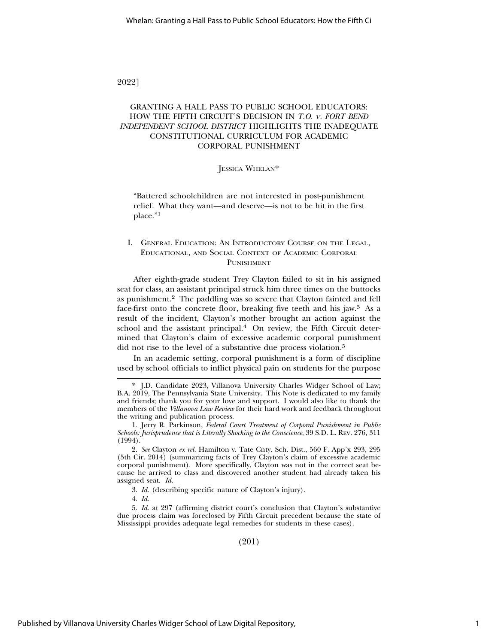### 2022]

# GRANTING A HALL PASS TO PUBLIC SCHOOL EDUCATORS: HOW THE FIFTH CIRCUIT'S DECISION IN *T.O.* <sup>V</sup>*. FORT BEND INDEPENDENT SCHOOL DISTRICT* HIGHLIGHTS THE INADEQUATE CONSTITUTIONAL CURRICULUM FOR ACADEMIC CORPORAL PUNISHMENT

#### JESSICA WHELAN\*

"Battered schoolchildren are not interested in post-punishment relief. What they want—and deserve—is not to be hit in the first place."<sup>1</sup>

#### I. GENERAL EDUCATION: AN INTRODUCTORY COURSE ON THE LEGAL, EDUCATIONAL, AND SOCIAL CONTEXT OF ACADEMIC CORPORAL PUNISHMENT

After eighth-grade student Trey Clayton failed to sit in his assigned seat for class, an assistant principal struck him three times on the buttocks as punishment.2 The paddling was so severe that Clayton fainted and fell face-first onto the concrete floor, breaking five teeth and his jaw.3 As a result of the incident, Clayton's mother brought an action against the school and the assistant principal.4 On review, the Fifth Circuit determined that Clayton's claim of excessive academic corporal punishment did not rise to the level of a substantive due process violation.<sup>5</sup>

In an academic setting, corporal punishment is a form of discipline used by school officials to inflict physical pain on students for the purpose

3. *Id.* (describing specific nature of Clayton's injury).

4. *Id.*

5. *Id.* at 297 (affirming district court's conclusion that Clayton's substantive due process claim was foreclosed by Fifth Circuit precedent because the state of Mississippi provides adequate legal remedies for students in these cases).

(201)

<sup>\*</sup> J.D. Candidate 2023, Villanova University Charles Widger School of Law; B.A. 2019, The Pennsylvania State University. This Note is dedicated to my family and friends; thank you for your love and support. I would also like to thank the members of the *Villanova Law Review* for their hard work and feedback throughout the writing and publication process.

<sup>1.</sup> Jerry R. Parkinson, *Federal Court Treatment of Corporal Punishment in Public Schools: Jurisprudence that is Literally Shocking to the Conscience*, 39 S.D. L. REV. 276, 311 (1994).

<sup>2.</sup> *See* Clayton *ex rel.* Hamilton v. Tate Cnty. Sch. Dist., 560 F. App'x 293, 295 (5th Cir. 2014) (summarizing facts of Trey Clayton's claim of excessive academic corporal punishment). More specifically, Clayton was not in the correct seat because he arrived to class and discovered another student had already taken his assigned seat. *Id.*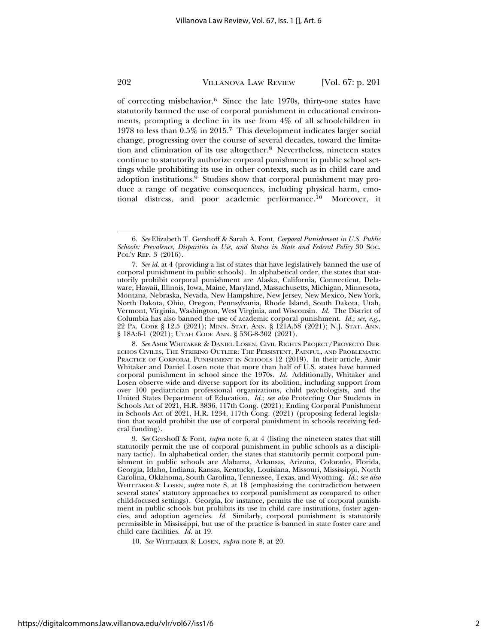of correcting misbehavior.6 Since the late 1970s, thirty-one states have statutorily banned the use of corporal punishment in educational environments, prompting a decline in its use from 4% of all schoolchildren in 1978 to less than 0.5% in 2015.7 This development indicates larger social change, progressing over the course of several decades, toward the limitation and elimination of its use altogether.8 Nevertheless, nineteen states continue to statutorily authorize corporal punishment in public school settings while prohibiting its use in other contexts, such as in child care and adoption institutions.9 Studies show that corporal punishment may produce a range of negative consequences, including physical harm, emotional distress, and poor academic performance.10 Moreover, it

8. *See* AMIR WHITAKER & DANIEL LOSEN, CIVIL RIGHTS PROJECT/PROYECTO DER-ECHOS CIVILES, THE STRIKING OUTLIER: THE PERSISTENT, PAINFUL, AND PROBLEMATIC PRACTICE OF CORPORAL PUNISHMENT IN SCHOOLS 12 (2019). In their article, Amir Whitaker and Daniel Losen note that more than half of U.S. states have banned corporal punishment in school since the 1970s. *Id.* Additionally, Whitaker and Losen observe wide and diverse support for its abolition, including support from over 100 pediatrician professional organizations, child psychologists, and the United States Department of Education. *Id.*; *see also* Protecting Our Students in Schools Act of 2021, H.R. 3836, 117th Cong. (2021); Ending Corporal Punishment in Schools Act of 2021, H.R. 1234, 117th Cong. (2021) (proposing federal legislation that would prohibit the use of corporal punishment in schools receiving federal funding).

9. *See* Gershoff & Font, *supra* note 6, at 4 (listing the nineteen states that still statutorily permit the use of corporal punishment in public schools as a disciplinary tactic). In alphabetical order, the states that statutorily permit corporal punishment in public schools are Alabama, Arkansas, Arizona, Colorado, Florida, Georgia, Idaho, Indiana, Kansas, Kentucky, Louisiana, Missouri, Mississippi, North Carolina, Oklahoma, South Carolina, Tennessee, Texas, and Wyoming. *Id.*; *see also* WHITTAKER & LOSEN, *supra* note 8, at 18 (emphasizing the contradiction between several states' statutory approaches to corporal punishment as compared to other child-focused settings). Georgia, for instance, permits the use of corporal punishment in public schools but prohibits its use in child care institutions, foster agencies, and adoption agencies. *Id.* Similarly, corporal punishment is statutorily permissible in Mississippi, but use of the practice is banned in state foster care and child care facilities. *Id.* at 19.

10. *See* WHITAKER & LOSEN, *supra* note 8, at 20.

https://digitalcommons.law.villanova.edu/vlr/vol67/iss1/6

<sup>6.</sup> *See* Elizabeth T. Gershoff & Sarah A. Font, *Corporal Punishment in U.S. Public Schools: Prevalence, Disparities in Use, and Status in State and Federal Policy* 30 SOC. POL'Y REP. 3 (2016).

<sup>7.</sup> *See id.* at 4 (providing a list of states that have legislatively banned the use of corporal punishment in public schools). In alphabetical order, the states that statutorily prohibit corporal punishment are Alaska, California, Connecticut, Delaware, Hawaii, Illinois, Iowa, Maine, Maryland, Massachusetts, Michigan, Minnesota, Montana, Nebraska, Nevada, New Hampshire, New Jersey, New Mexico, New York, North Dakota, Ohio, Oregon, Pennsylvania, Rhode Island, South Dakota, Utah, Vermont, Virginia, Washington, West Virginia, and Wisconsin. *Id.* The District of Columbia has also banned the use of academic corporal punishment. *Id.*; *see, e.g.*, 22 PA. CODE § 12.5 (2021); MINN. STAT. ANN. § 121A.58 (2021); N.J. STAT. ANN. § 18A:6-1 (2021); UTAH CODE ANN. § 53G-8-302 (2021).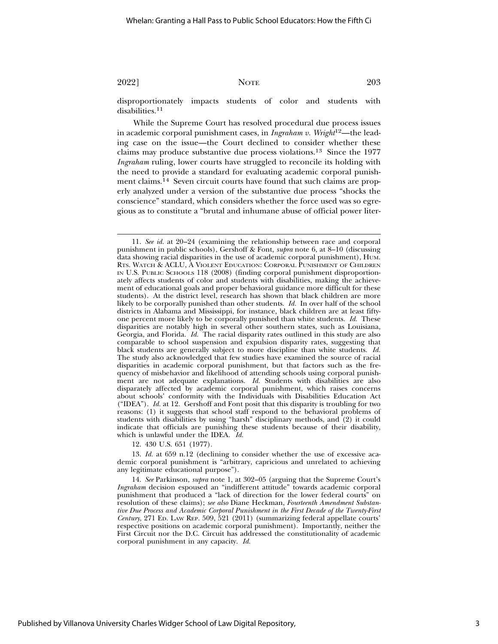disproportionately impacts students of color and students with disabilities.<sup>11</sup>

While the Supreme Court has resolved procedural due process issues in academic corporal punishment cases, in *Ingraham v. Wright*12—the leading case on the issue—the Court declined to consider whether these claims may produce substantive due process violations.13 Since the 1977 *Ingraham* ruling, lower courts have struggled to reconcile its holding with the need to provide a standard for evaluating academic corporal punishment claims.<sup>14</sup> Seven circuit courts have found that such claims are properly analyzed under a version of the substantive due process "shocks the conscience" standard, which considers whether the force used was so egregious as to constitute a "brutal and inhumane abuse of official power liter-

12. 430 U.S. 651 (1977).

13. *Id.* at 659 n.12 (declining to consider whether the use of excessive academic corporal punishment is "arbitrary, capricious and unrelated to achieving any legitimate educational purpose").

14. *See* Parkinson, *supra* note 1, at 302–05 (arguing that the Supreme Court's *Ingraham* decision espoused an "indifferent attitude" towards academic corporal punishment that produced a "lack of direction for the lower federal courts" on resolution of these claims); *see also* Diane Heckman, *Fourteenth Amendment Substantive Due Process and Academic Corporal Punishment in the First Decade of the Twenty-First Century*, 271 ED. LAW REP. 509, 521 (2011) (summarizing federal appellate courts' respective positions on academic corporal punishment). Importantly, neither the First Circuit nor the D.C. Circuit has addressed the constitutionality of academic corporal punishment in any capacity. *Id.*

<sup>11.</sup> *See id.* at 20–24 (examining the relationship between race and corporal punishment in public schools), Gershoff & Font, *supra* note 6, at 8–10 (discussing data showing racial disparities in the use of academic corporal punishment), HUM. RTS. WATCH & ACLU, A VIOLENT EDUCATION: CORPORAL PUNISHMENT OF CHILDREN IN U.S. PUBLIC SCHOOLS 118 (2008) (finding corporal punishment disproportionately affects students of color and students with disabilities, making the achievement of educational goals and proper behavioral guidance more difficult for these students). At the district level, research has shown that black children are more likely to be corporally punished than other students. *Id.* In over half of the school districts in Alabama and Mississippi, for instance, black children are at least fiftyone percent more likely to be corporally punished than white students. *Id.* These disparities are notably high in several other southern states, such as Louisiana, Georgia, and Florida. *Id.* The racial disparity rates outlined in this study are also comparable to school suspension and expulsion disparity rates, suggesting that black students are generally subject to more discipline than white students. *Id.* The study also acknowledged that few studies have examined the source of racial disparities in academic corporal punishment, but that factors such as the frequency of misbehavior and likelihood of attending schools using corporal punishment are not adequate explanations. *Id.* Students with disabilities are also disparately affected by academic corporal punishment, which raises concerns about schools' conformity with the Individuals with Disabilities Education Act ("IDEA"). *Id.* at 12. Gershoff and Font posit that this disparity is troubling for two reasons: (1) it suggests that school staff respond to the behavioral problems of students with disabilities by using "harsh" disciplinary methods, and (2) it could indicate that officials are punishing these students because of their disability, which is unlawful under the IDEA. *Id.*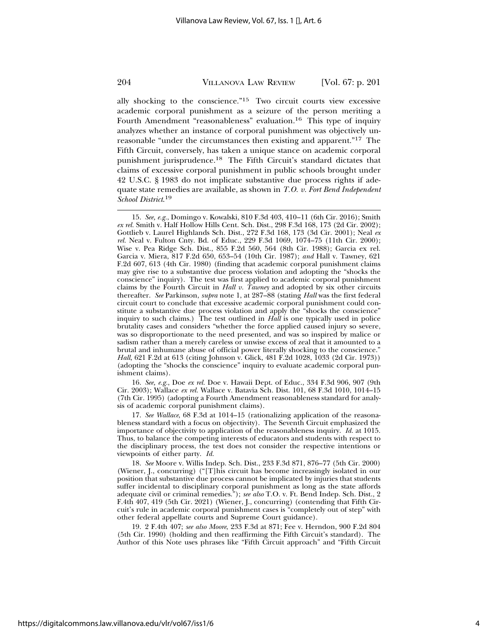ally shocking to the conscience."15 Two circuit courts view excessive academic corporal punishment as a seizure of the person meriting a Fourth Amendment "reasonableness" evaluation.16 This type of inquiry analyzes whether an instance of corporal punishment was objectively unreasonable "under the circumstances then existing and apparent."17 The Fifth Circuit, conversely, has taken a unique stance on academic corporal punishment jurisprudence.18 The Fifth Circuit's standard dictates that claims of excessive corporal punishment in public schools brought under 42 U.S.C. § 1983 do not implicate substantive due process rights if adequate state remedies are available, as shown in *T.O. v. Fort Bend Independent School District*. 19

15. *See, e.g.*, Domingo v. Kowalski, 810 F.3d 403, 410–11 (6th Cir. 2016); Smith *ex rel.* Smith v. Half Hollow Hills Cent. Sch. Dist., 298 F.3d 168, 173 (2d Cir. 2002); Gottlieb v. Laurel Highlands Sch. Dist., 272 F.3d 168, 173 (3d Cir. 2001); Neal *ex rel.* Neal v. Fulton Cnty. Bd. of Educ., 229 F.3d 1069, 1074–75 (11th Cir. 2000); Wise v. Pea Ridge Sch. Dist., 855 F.2d 560, 564 (8th Cir. 1988); Garcia ex rel. Garcia v. Miera, 817 F.2d 650, 653–54 (10th Cir. 1987); *and* Hall v. Tawney, 621 F.2d 607, 613 (4th Cir. 1980) (finding that academic corporal punishment claims may give rise to a substantive due process violation and adopting the "shocks the conscience" inquiry). The test was first applied to academic corporal punishment claims by the Fourth Circuit in *Hall v. Tawney* and adopted by six other circuits thereafter. *See* Parkinson, *supra* note 1, at 287–88 (stating *Hall* was the first federal circuit court to conclude that excessive academic corporal punishment could constitute a substantive due process violation and apply the "shocks the conscience" inquiry to such claims.) The test outlined in *Hall* is one typically used in police brutality cases and considers "whether the force applied caused injury so severe, was so disproportionate to the need presented, and was so inspired by malice or sadism rather than a merely careless or unwise excess of zeal that it amounted to a brutal and inhumane abuse of official power literally shocking to the conscience." *Hall*, 621 F.2d at 613 (citing Johnson v. Glick, 481 F.2d 1028, 1033 (2d Cir. 1973)) (adopting the "shocks the conscience" inquiry to evaluate academic corporal punishment claims).

16. *See, e.g.*, Doe *ex rel.* Doe v. Hawaii Dept. of Educ., 334 F.3d 906, 907 (9th Cir. 2003); Wallace *ex rel.* Wallace v. Batavia Sch. Dist. 101, 68 F.3d 1010, 1014–15 (7th Cir. 1995) (adopting a Fourth Amendment reasonableness standard for analysis of academic corporal punishment claims).

17. *See Wallace*, 68 F.3d at 1014–15 (rationalizing application of the reasonableness standard with a focus on objectivity). The Seventh Circuit emphasized the importance of objectivity to application of the reasonableness inquiry. *Id.* at 1015. Thus, to balance the competing interests of educators and students with respect to the disciplinary process, the test does not consider the respective intentions or viewpoints of either party. *Id.*

18. *See* Moore v. Willis Indep. Sch. Dist., 233 F.3d 871, 876–77 (5th Cir. 2000) (Wiener, J., concurring) ("[T]his circuit has become increasingly isolated in our position that substantive due process cannot be implicated by injuries that students suffer incidental to disciplinary corporal punishment as long as the state affords adequate civil or criminal remedies."); *see also* T.O. v. Ft. Bend Indep. Sch. Dist., 2 F.4th 407, 419 (5th Cir. 2021) (Wiener, J., concurring) (contending that Fifth Circuit's rule in academic corporal punishment cases is "completely out of step" with other federal appellate courts and Supreme Court guidance).

19. 2 F.4th 407; *see also Moore*, 233 F.3d at 871; Fee v. Herndon, 900 F.2d 804 (5th Cir. 1990) (holding and then reaffirming the Fifth Circuit's standard). The Author of this Note uses phrases like "Fifth Circuit approach" and "Fifth Circuit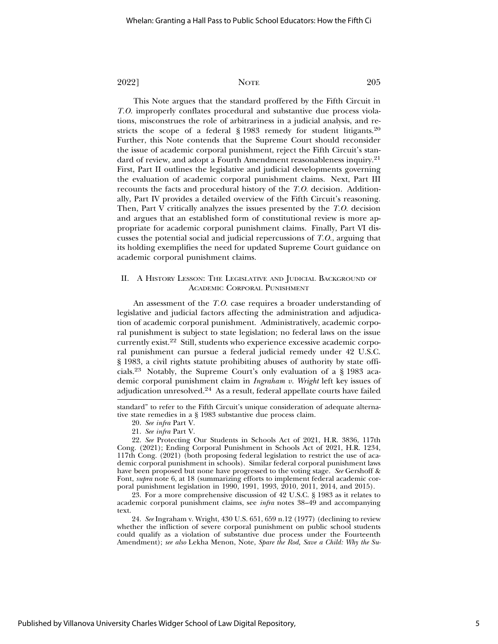This Note argues that the standard proffered by the Fifth Circuit in *T.O.* improperly conflates procedural and substantive due process violations, misconstrues the role of arbitrariness in a judicial analysis, and restricts the scope of a federal  $\S$  1983 remedy for student litigants.<sup>20</sup> Further, this Note contends that the Supreme Court should reconsider the issue of academic corporal punishment, reject the Fifth Circuit's standard of review, and adopt a Fourth Amendment reasonableness inquiry.21 First, Part II outlines the legislative and judicial developments governing the evaluation of academic corporal punishment claims. Next, Part III recounts the facts and procedural history of the *T.O.* decision. Additionally, Part IV provides a detailed overview of the Fifth Circuit's reasoning. Then, Part V critically analyzes the issues presented by the *T.O.* decision and argues that an established form of constitutional review is more appropriate for academic corporal punishment claims. Finally, Part VI discusses the potential social and judicial repercussions of *T.O.*, arguing that its holding exemplifies the need for updated Supreme Court guidance on academic corporal punishment claims.

#### II. A HISTORY LESSON: THE LEGISLATIVE AND JUDICIAL BACKGROUND OF ACADEMIC CORPORAL PUNISHMENT

An assessment of the *T.O.* case requires a broader understanding of legislative and judicial factors affecting the administration and adjudication of academic corporal punishment. Administratively, academic corporal punishment is subject to state legislation; no federal laws on the issue currently exist.22 Still, students who experience excessive academic corporal punishment can pursue a federal judicial remedy under 42 U.S.C. § 1983, a civil rights statute prohibiting abuses of authority by state officials.23 Notably, the Supreme Court's only evaluation of a § 1983 academic corporal punishment claim in *Ingraham v. Wright* left key issues of adjudication unresolved.24 As a result, federal appellate courts have failed

21. *See infra* Part V.

23. For a more comprehensive discussion of 42 U.S.C. § 1983 as it relates to academic corporal punishment claims, see *infra* notes 38–49 and accompanying text.

24. *See* Ingraham v. Wright, 430 U.S. 651, 659 n.12 (1977) (declining to review whether the infliction of severe corporal punishment on public school students could qualify as a violation of substantive due process under the Fourteenth Amendment); *see also* Lekha Menon, Note, *Spare the Rod, Save a Child: Why the Su-*

standard" to refer to the Fifth Circuit's unique consideration of adequate alternative state remedies in a § 1983 substantive due process claim.

<sup>20.</sup> *See infra* Part V.

<sup>22.</sup> *See* Protecting Our Students in Schools Act of 2021, H.R. 3836, 117th Cong. (2021); Ending Corporal Punishment in Schools Act of 2021, H.R. 1234, 117th Cong. (2021) (both proposing federal legislation to restrict the use of academic corporal punishment in schools). Similar federal corporal punishment laws have been proposed but none have progressed to the voting stage. *See* Gershoff & Font, *supra* note 6, at 18 (summarizing efforts to implement federal academic corporal punishment legislation in 1990, 1991, 1993, 2010, 2011, 2014, and 2015).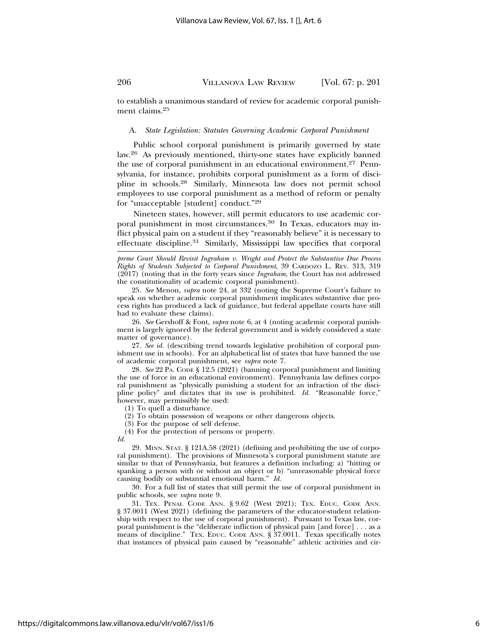to establish a unanimous standard of review for academic corporal punishment claims.25

#### A. *State Legislation: Statutes Governing Academic Corporal Punishment*

Public school corporal punishment is primarily governed by state law.26 As previously mentioned, thirty-one states have explicitly banned the use of corporal punishment in an educational environment.<sup>27</sup> Pennsylvania, for instance, prohibits corporal punishment as a form of discipline in schools.28 Similarly, Minnesota law does not permit school employees to use corporal punishment as a method of reform or penalty for "unacceptable [student] conduct."29

Nineteen states, however, still permit educators to use academic corporal punishment in most circumstances.<sup>30</sup> In Texas, educators may inflict physical pain on a student if they "reasonably believe" it is necessary to effectuate discipline.31 Similarly, Mississippi law specifies that corporal

*preme Court Should Revisit Ingraham v. Wright and Protect the Substantive Due Process Rights of Students Subjected to Corporal Punishment*, 39 CARDOZO L. REV. 313, 319 (2017) (noting that in the forty years since *Ingraham*, the Court has not addressed the constitutionality of academic corporal punishment).

25. *See* Menon, *supra* note 24, at 332 (noting the Supreme Court's failure to speak on whether academic corporal punishment implicates substantive due process rights has produced a lack of guidance, but federal appellate courts have still had to evaluate these claims).

26. *See* Gershoff & Font, *supra* note 6, at 4 (noting academic corporal punishment is largely ignored by the federal government and is widely considered a state matter of governance).

27. *See id.* (describing trend towards legislative prohibition of corporal punishment use in schools). For an alphabetical list of states that have banned the use of academic corporal punishment, see *supra* note 7.

28. *See* 22 PA. CODE § 12.5 (2021) (banning corporal punishment and limiting the use of force in an educational environment). Pennsylvania law defines corporal punishment as "physically punishing a student for an infraction of the discipline policy" and dictates that its use is prohibited. *Id.* "Reasonable force," however, may permissibly be used:

(1) To quell a disturbance.

(2) To obtain possession of weapons or other dangerous objects.

(3) For the purpose of self defense.

(4) For the protection of persons or property.

*Id.*

29. MINN. STAT. § 121A.58 (2021) (defining and prohibiting the use of corporal punishment). The provisions of Minnesota's corporal punishment statute are similar to that of Pennsylvania, but features a definition including: a) "hitting or spanking a person with or without an object or b) "unreasonable physical force causing bodily or substantial emotional harm." *Id.*

30. For a full list of states that still permit the use of corporal punishment in public schools, see *supra* note 9.

31. TEX. PENAL CODE ANN. § 9.62 (West 2021); TEX. EDUC. CODE ANN. § 37.0011 (West 2021) (defining the parameters of the educator-student relationship with respect to the use of corporal punishment). Pursuant to Texas law, corporal punishment is the "deliberate infliction of physical pain [and force] . . . as a means of discipline." TEX. EDUC. CODE ANN. § 37.0011. Texas specifically notes that instances of physical pain caused by "reasonable" athletic activities and cir-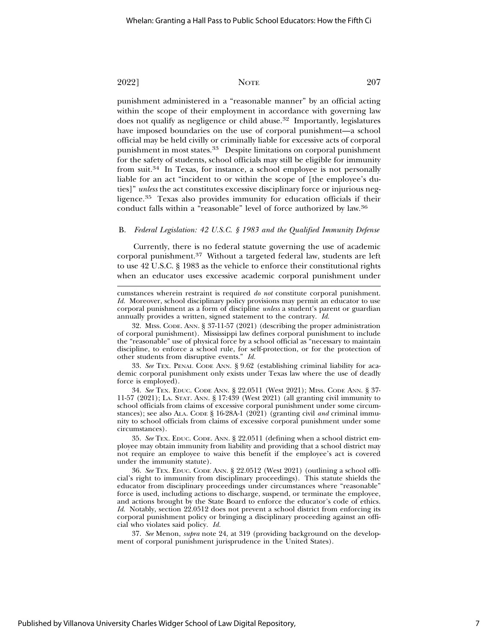punishment administered in a "reasonable manner" by an official acting within the scope of their employment in accordance with governing law does not qualify as negligence or child abuse.<sup>32</sup> Importantly, legislatures have imposed boundaries on the use of corporal punishment—a school official may be held civilly or criminally liable for excessive acts of corporal punishment in most states.33 Despite limitations on corporal punishment for the safety of students, school officials may still be eligible for immunity from suit.34 In Texas, for instance, a school employee is not personally liable for an act "incident to or within the scope of [the employee's duties]" *unless* the act constitutes excessive disciplinary force or injurious negligence.35 Texas also provides immunity for education officials if their conduct falls within a "reasonable" level of force authorized by law.36

#### B. *Federal Legislation: 42 U.S.C. § 1983 and the Qualified Immunity Defense*

Currently, there is no federal statute governing the use of academic corporal punishment.37 Without a targeted federal law, students are left to use 42 U.S.C. § 1983 as the vehicle to enforce their constitutional rights when an educator uses excessive academic corporal punishment under

33. *See* TEX. PENAL CODE ANN. § 9.62 (establishing criminal liability for academic corporal punishment only exists under Texas law where the use of deadly force is employed).

34. *See* TEX. EDUC. CODE ANN. § 22.0511 (West 2021); MISS. CODE ANN. § 37- 11-57 (2021); LA. STAT. ANN. § 17:439 (West 2021) (all granting civil immunity to school officials from claims of excessive corporal punishment under some circumstances); see also ALA. CODE § 16-28A-1 (2021) (granting civil *and* criminal immunity to school officials from claims of excessive corporal punishment under some circumstances).

35. *See* TEX. EDUC. CODE. ANN. § 22.0511 (defining when a school district employee may obtain immunity from liability and providing that a school district may not require an employee to waive this benefit if the employee's act is covered under the immunity statute).

36. *See* TEX. EDUC. CODE ANN. § 22.0512 (West 2021) (outlining a school official's right to immunity from disciplinary proceedings). This statute shields the educator from disciplinary proceedings under circumstances where "reasonable" force is used, including actions to discharge, suspend, or terminate the employee, and actions brought by the State Board to enforce the educator's code of ethics. *Id.* Notably, section 22.0512 does not prevent a school district from enforcing its corporal punishment policy or bringing a disciplinary proceeding against an official who violates said policy. *Id.*

37. *See* Menon, *supra* note 24, at 319 (providing background on the development of corporal punishment jurisprudence in the United States).

cumstances wherein restraint is required *do not* constitute corporal punishment. *Id.* Moreover, school disciplinary policy provisions may permit an educator to use corporal punishment as a form of discipline *unless* a student's parent or guardian annually provides a written, signed statement to the contrary. *Id.*

<sup>32.</sup> MISS. CODE. ANN. § 37-11-57 (2021) (describing the proper administration of corporal punishment). Mississippi law defines corporal punishment to include the "reasonable" use of physical force by a school official as "necessary to maintain discipline, to enforce a school rule, for self-protection, or for the protection of other students from disruptive events." *Id.*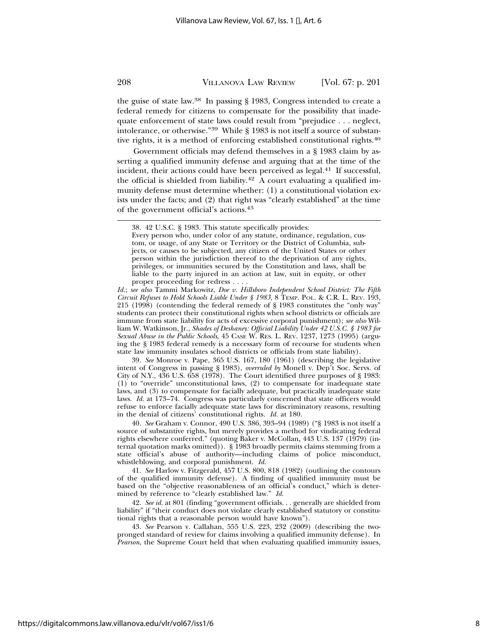the guise of state law.38 In passing § 1983, Congress intended to create a federal remedy for citizens to compensate for the possibility that inadequate enforcement of state laws could result from "prejudice . . . neglect, intolerance, or otherwise."39 While § 1983 is not itself a source of substantive rights, it is a method of enforcing established constitutional rights.40

Government officials may defend themselves in a § 1983 claim by asserting a qualified immunity defense and arguing that at the time of the incident, their actions could have been perceived as legal.<sup>41</sup> If successful, the official is shielded from liability.<sup>42</sup> A court evaluating a qualified immunity defense must determine whether: (1) a constitutional violation exists under the facts; and (2) that right was "clearly established" at the time of the government official's actions.43

*Id.*; *see also* Tammi Markowitz, *Doe v. Hillsboro Independent School District: The Fifth Circuit Refuses to Hold Schools Liable Under § 1983*, 8 TEMP. POL. & C.R. L. REV. 193, 215 (1998) (contending the federal remedy of § 1983 constitutes the "only way" students can protect their constitutional rights when school districts or officials are immune from state liability for acts of excessive corporal punishment); *see also* William W. Watkinson, Jr., *Shades of Deshaney: Official Liability Under 42 U.S.C. § 1983 for Sexual Abuse in the Public Schools*, 45 CASE W. RES. L. REV. 1237, 1273 (1995) (arguing the § 1983 federal remedy is a necessary form of recourse for students when state law immunity insulates school districts or officials from state liability).

39. *See* Monroe v. Pape, 365 U.S. 167, 180 (1961) (describing the legislative intent of Congress in passing § 1983), *overruled by* Monell v. Dep't Soc. Servs. of City of N.Y., 436 U.S. 658 (1978). The Court identified three purposes of § 1983: (1) to "override" unconstitutional laws, (2) to compensate for inadequate state laws, and (3) to compensate for facially adequate, but practically inadequate state laws. *Id.* at 173–74. Congress was particularly concerned that state officers would refuse to enforce facially adequate state laws for discriminatory reasons, resulting in the denial of citizens' constitutional rights. *Id.* at 180.

40. *See* Graham v. Connor, 490 U.S. 386, 393–94 (1989) ("§ 1983 is not itself a source of substantive rights, but merely provides a method for vindicating federal rights elsewhere conferred." (quoting Baker v. McCollan, 443 U.S. 137 (1979) (internal quotation marks omitted)). § 1983 broadly permits claims stemming from a state official's abuse of authority—including claims of police misconduct, whistleblowing, and corporal punishment. *Id.*

41. *See* Harlow v. Fitzgerald, 457 U.S. 800, 818 (1982) (outlining the contours of the qualified immunity defense). A finding of qualified immunity must be based on the "objective reasonableness of an official's conduct," which is determined by reference to "clearly established law." *Id.*

42. *See id.* at 801 (finding "government officials. . . generally are shielded from liability" if "their conduct does not violate clearly established statutory or constitutional rights that a reasonable person would have known").

43. *See* Pearson v. Callahan, 555 U.S. 223, 232 (2009) (describing the twopronged standard of review for claims involving a qualified immunity defense). In *Pearson*, the Supreme Court held that when evaluating qualified immunity issues,

<sup>38. 42</sup> U.S.C. § 1983. This statute specifically provides:

Every person who, under color of any statute, ordinance, regulation, custom, or usage, of any State or Territory or the District of Columbia, subjects, or causes to be subjected, any citizen of the United States or other person within the jurisdiction thereof to the deprivation of any rights, privileges, or immunities secured by the Constitution and laws, shall be liable to the party injured in an action at law, suit in equity, or other proper proceeding for redress . . . .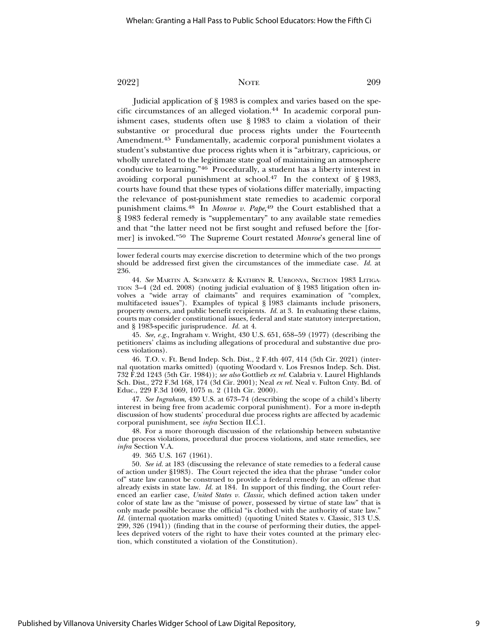Judicial application of § 1983 is complex and varies based on the specific circumstances of an alleged violation.44 In academic corporal punishment cases, students often use § 1983 to claim a violation of their substantive or procedural due process rights under the Fourteenth Amendment.45 Fundamentally, academic corporal punishment violates a student's substantive due process rights when it is "arbitrary, capricious, or wholly unrelated to the legitimate state goal of maintaining an atmosphere conducive to learning."46 Procedurally, a student has a liberty interest in avoiding corporal punishment at school.<sup>47</sup> In the context of § 1983, courts have found that these types of violations differ materially, impacting the relevance of post-punishment state remedies to academic corporal punishment claims.48 In *Monroe v. Pape*, 49 the Court established that a § 1983 federal remedy is "supplementary" to any available state remedies and that "the latter need not be first sought and refused before the [former] is invoked."50 The Supreme Court restated *Monroe*'s general line of

lower federal courts may exercise discretion to determine which of the two prongs should be addressed first given the circumstances of the immediate case. *Id.* at 236.

44. *See* MARTIN A. SCHWARTZ & KATHRYN R. URBONYA, SECTION 1983 LITIGA-TION 3–4 (2d ed. 2008) (noting judicial evaluation of § 1983 litigation often involves a "wide array of claimants" and requires examination of "complex, multifaceted issues"). Examples of typical § 1983 claimants include prisoners, property owners, and public benefit recipients. *Id.* at 3. In evaluating these claims, courts may consider constitutional issues, federal and state statutory interpretation, and § 1983-specific jurisprudence. *Id.* at 4.

45. *See, e.g.*, Ingraham v. Wright, 430 U.S. 651, 658–59 (1977) (describing the petitioners' claims as including allegations of procedural and substantive due process violations).

46. T.O. v. Ft. Bend Indep. Sch. Dist., 2 F.4th 407, 414 (5th Cir. 2021) (internal quotation marks omitted) (quoting Woodard v. Los Fresnos Indep. Sch. Dist. 732 F.2d 1243 (5th Cir. 1984)); *see also* Gottlieb *ex rel.* Calabria v. Laurel Highlands Sch. Dist., 272 F.3d 168, 174 (3d Cir. 2001); Neal *ex rel.* Neal v. Fulton Cnty. Bd. of Educ., 229 F.3d 1069, 1075 n. 2 (11th Cir. 2000).

47. *See Ingraham*, 430 U.S. at 673–74 (describing the scope of a child's liberty interest in being free from academic corporal punishment). For a more in-depth discussion of how students' procedural due process rights are affected by academic corporal punishment, see *infra* Section II.C.1.

48. For a more thorough discussion of the relationship between substantive due process violations, procedural due process violations, and state remedies, see *infra* Section V.A.

49. 365 U.S. 167 (1961).

50. *See id.* at 183 (discussing the relevance of state remedies to a federal cause of action under §1983). The Court rejected the idea that the phrase "under color of" state law cannot be construed to provide a federal remedy for an offense that already exists in state law. *Id.* at 184. In support of this finding, the Court referenced an earlier case, *United States v. Classic*, which defined action taken under color of state law as the "misuse of power, possessed by virtue of state law" that is only made possible because the official "is clothed with the authority of state law." *Id.* (internal quotation marks omitted) (quoting United States v. Classic, 313 U.S. 299, 326 (1941)) (finding that in the course of performing their duties, the appellees deprived voters of the right to have their votes counted at the primary election, which constituted a violation of the Constitution).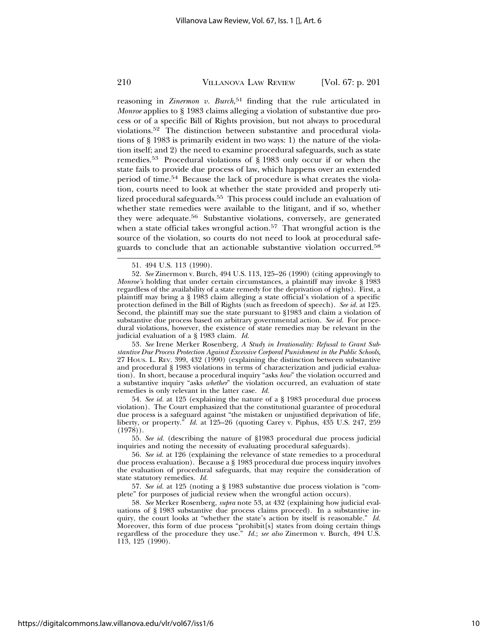reasoning in *Zinermon v. Burch*, 51 finding that the rule articulated in *Monroe* applies to § 1983 claims alleging a violation of substantive due process or of a specific Bill of Rights provision, but not always to procedural violations.52 The distinction between substantive and procedural violations of § 1983 is primarily evident in two ways: 1) the nature of the violation itself; and 2) the need to examine procedural safeguards, such as state remedies.53 Procedural violations of § 1983 only occur if or when the state fails to provide due process of law, which happens over an extended period of time.54 Because the lack of procedure is what creates the violation, courts need to look at whether the state provided and properly utilized procedural safeguards.<sup>55</sup> This process could include an evaluation of whether state remedies were available to the litigant, and if so, whether they were adequate.56 Substantive violations, conversely, are generated when a state official takes wrongful action.<sup>57</sup> That wrongful action is the source of the violation, so courts do not need to look at procedural safeguards to conclude that an actionable substantive violation occurred.58

52. *See* Zinermon v. Burch, 494 U.S. 113, 125–26 (1990) (citing approvingly to *Monroe's* holding that under certain circumstances, a plaintiff may invoke § 1983 regardless of the availability of a state remedy for the deprivation of rights). First, a plaintiff may bring a § 1983 claim alleging a state official's violation of a specific protection defined in the Bill of Rights (such as freedom of speech). *See id.* at 125. Second, the plaintiff may sue the state pursuant to §1983 and claim a violation of substantive due process based on arbitrary governmental action. *See id.* For procedural violations, however, the existence of state remedies may be relevant in the judicial evaluation of a § 1983 claim*. Id.*

53. *See* Irene Merker Rosenberg, *A Study in Irrationality: Refusal to Grant Substantive Due Process Protection Against Excessive Corporal Punishment in the Public Schools*, 27 HOUS. L. REV. 399, 432 (1990) (explaining the distinction between substantive and procedural § 1983 violations in terms of characterization and judicial evaluation). In short, because a procedural inquiry "asks *how*" the violation occurred and a substantive inquiry "asks *whether*" the violation occurred, an evaluation of state remedies is only relevant in the latter case. *Id.*

54. *See id.* at 125 (explaining the nature of a § 1983 procedural due process violation). The Court emphasized that the constitutional guarantee of procedural due process is a safeguard against "the mistaken or unjustified deprivation of life, liberty, or property." *Id.* at 125–26 (quoting Carey v. Piphus, 435 U.S. 247, 259 (1978)).

55. *See id.* (describing the nature of §1983 procedural due process judicial inquiries and noting the necessity of evaluating procedural safeguards).

56. *See id.* at 126 (explaining the relevance of state remedies to a procedural due process evaluation). Because a § 1983 procedural due process inquiry involves the evaluation of procedural safeguards, that may require the consideration of state statutory remedies. *Id.*

57. *See id.* at 125 (noting a § 1983 substantive due process violation is "complete" for purposes of judicial review when the wrongful action occurs).

58. *See* Merker Rosenberg, *supra* note 53, at 432 (explaining how judicial evaluations of § 1983 substantive due process claims proceed). In a substantive inquiry, the court looks at "whether the state's action by itself is reasonable." *Id.* Moreover, this form of due process "prohibit[s] states from doing certain things regardless of the procedure they use." *Id.*; *see also* Zinermon v. Burch, 494 U.S. 113, 125 (1990).

<sup>51. 494</sup> U.S. 113 (1990).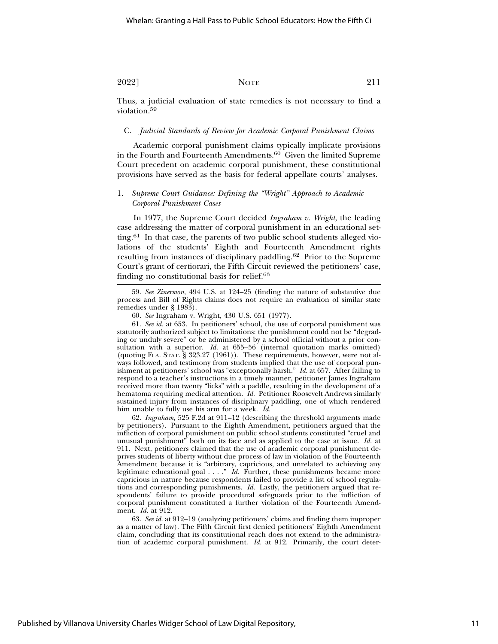Thus, a judicial evaluation of state remedies is not necessary to find a violation.<sup>59</sup>

#### C. *Judicial Standards of Review for Academic Corporal Punishment Claims*

Academic corporal punishment claims typically implicate provisions in the Fourth and Fourteenth Amendments.60 Given the limited Supreme Court precedent on academic corporal punishment, these constitutional provisions have served as the basis for federal appellate courts' analyses.

## 1. *Supreme Court Guidance: Defining the "Wright" Approach to Academic Corporal Punishment Cases*

In 1977, the Supreme Court decided *Ingraham v. Wright*, the leading case addressing the matter of corporal punishment in an educational setting.<sup>61</sup> In that case, the parents of two public school students alleged violations of the students' Eighth and Fourteenth Amendment rights resulting from instances of disciplinary paddling.62 Prior to the Supreme Court's grant of certiorari, the Fifth Circuit reviewed the petitioners' case, finding no constitutional basis for relief.<sup>63</sup>

61. *See id.* at 653. In petitioners' school, the use of corporal punishment was statutorily authorized subject to limitations: the punishment could not be "degrading or unduly severe" or be administered by a school official without a prior consultation with a superior. *Id.* at 655–56 (internal quotation marks omitted) (quoting FLA. STAT. § 323.27 (1961)). These requirements, however, were not always followed, and testimony from students implied that the use of corporal punishment at petitioners' school was "exceptionally harsh." *Id.* at 657. After failing to respond to a teacher's instructions in a timely manner, petitioner James Ingraham received more than twenty "licks" with a paddle, resulting in the development of a hematoma requiring medical attention. *Id.* Petitioner Roosevelt Andrews similarly sustained injury from instances of disciplinary paddling, one of which rendered him unable to fully use his arm for a week. *Id.*

62. *Ingraham*, 525 F.2d at 911–12 (describing the threshold arguments made by petitioners). Pursuant to the Eighth Amendment, petitioners argued that the infliction of corporal punishment on public school students constituted "cruel and unusual punishment" both on its face and as applied to the case at issue. *Id.* at 911. Next, petitioners claimed that the use of academic corporal punishment deprives students of liberty without due process of law in violation of the Fourteenth Amendment because it is "arbitrary, capricious, and unrelated to achieving any legitimate educational goal . . . ." *Id.* Further, these punishments became more capricious in nature because respondents failed to provide a list of school regulations and corresponding punishments. *Id.* Lastly, the petitioners argued that respondents' failure to provide procedural safeguards prior to the infliction of corporal punishment constituted a further violation of the Fourteenth Amendment. *Id.* at 912.

63. *See id.* at 912–19 (analyzing petitioners' claims and finding them improper as a matter of law). The Fifth Circuit first denied petitioners' Eighth Amendment claim, concluding that its constitutional reach does not extend to the administration of academic corporal punishment. *Id.* at 912. Primarily, the court deter-

<sup>59.</sup> *See Zinermon*, 494 U.S. at 124–25 (finding the nature of substantive due process and Bill of Rights claims does not require an evaluation of similar state remedies under § 1983).

<sup>60.</sup> *See* Ingraham v. Wright, 430 U.S. 651 (1977).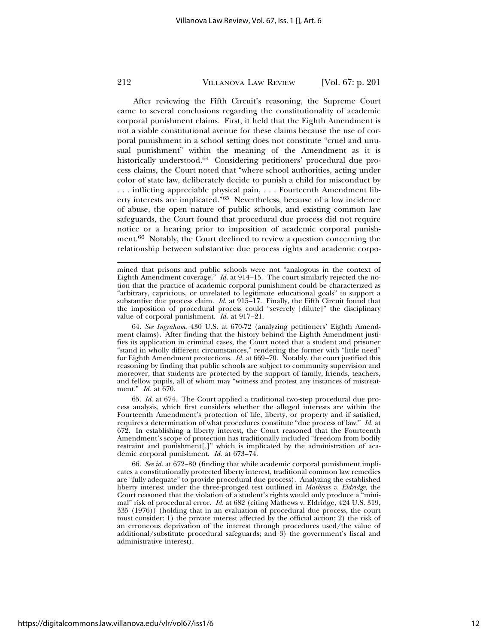After reviewing the Fifth Circuit's reasoning, the Supreme Court came to several conclusions regarding the constitutionality of academic corporal punishment claims. First, it held that the Eighth Amendment is not a viable constitutional avenue for these claims because the use of corporal punishment in a school setting does not constitute "cruel and unusual punishment" within the meaning of the Amendment as it is historically understood.<sup>64</sup> Considering petitioners' procedural due process claims, the Court noted that "where school authorities, acting under color of state law, deliberately decide to punish a child for misconduct by . . . inflicting appreciable physical pain, . . . Fourteenth Amendment liberty interests are implicated."65 Nevertheless, because of a low incidence of abuse, the open nature of public schools, and existing common law safeguards, the Court found that procedural due process did not require notice or a hearing prior to imposition of academic corporal punishment.66 Notably, the Court declined to review a question concerning the relationship between substantive due process rights and academic corpo-

64. *See Ingraham*, 430 U.S. at 670-72 (analyzing petitioners' Eighth Amendment claims). After finding that the history behind the Eighth Amendment justifies its application in criminal cases, the Court noted that a student and prisoner "stand in wholly different circumstances," rendering the former with "little need" for Eighth Amendment protections. *Id.* at 669–70. Notably, the court justified this reasoning by finding that public schools are subject to community supervision and moreover, that students are protected by the support of family, friends, teachers, and fellow pupils, all of whom may "witness and protest any instances of mistreatment." *Id.* at 670.

65. *Id.* at 674. The Court applied a traditional two-step procedural due process analysis, which first considers whether the alleged interests are within the Fourteenth Amendment's protection of life, liberty, or property and if satisfied, requires a determination of what procedures constitute "due process of law." *Id.* at 672. In establishing a liberty interest, the Court reasoned that the Fourteenth Amendment's scope of protection has traditionally included "freedom from bodily restraint and punishment[,]" which is implicated by the administration of academic corporal punishment. *Id.* at 673–74.

66. *See id.* at 672–80 (finding that while academic corporal punishment implicates a constitutionally protected liberty interest, traditional common law remedies are "fully adequate" to provide procedural due process). Analyzing the established liberty interest under the three-pronged test outlined in *Mathews v. Eldridge*, the Court reasoned that the violation of a student's rights would only produce a "minimal" risk of procedural error. *Id.* at 682 (citing Mathews v. Eldridge, 424 U.S. 319, 335 (1976)) (holding that in an evaluation of procedural due process, the court must consider: 1) the private interest affected by the official action; 2) the risk of an erroneous deprivation of the interest through procedures used/the value of additional/substitute procedural safeguards; and 3) the government's fiscal and administrative interest).

mined that prisons and public schools were not "analogous in the context of Eighth Amendment coverage." *Id.* at 914–15. The court similarly rejected the notion that the practice of academic corporal punishment could be characterized as "arbitrary, capricious, or unrelated to legitimate educational goals" to support a substantive due process claim. *Id.* at 915–17. Finally, the Fifth Circuit found that the imposition of procedural process could "severely [dilute]" the disciplinary value of corporal punishment. *Id.* at 917–21.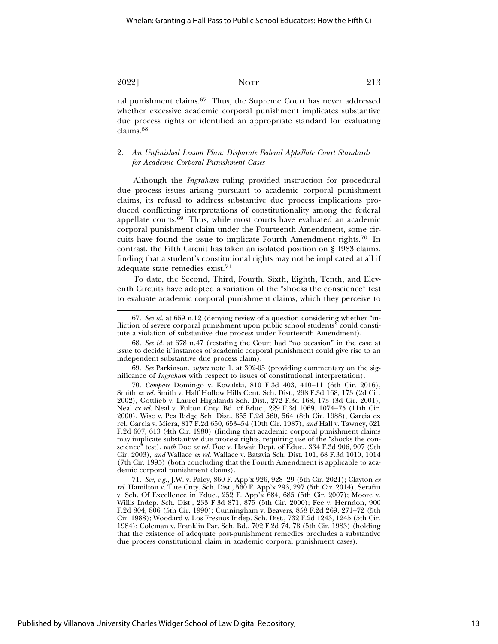ral punishment claims.67 Thus, the Supreme Court has never addressed whether excessive academic corporal punishment implicates substantive due process rights or identified an appropriate standard for evaluating claims.<sup>68</sup>

## 2. *An Unfinished Lesson Plan: Disparate Federal Appellate Court Standards for Academic Corporal Punishment Cases*

Although the *Ingraham* ruling provided instruction for procedural due process issues arising pursuant to academic corporal punishment claims, its refusal to address substantive due process implications produced conflicting interpretations of constitutionality among the federal appellate courts.69 Thus, while most courts have evaluated an academic corporal punishment claim under the Fourteenth Amendment, some circuits have found the issue to implicate Fourth Amendment rights.70 In contrast, the Fifth Circuit has taken an isolated position on § 1983 claims, finding that a student's constitutional rights may not be implicated at all if adequate state remedies exist.71

To date, the Second, Third, Fourth, Sixth, Eighth, Tenth, and Eleventh Circuits have adopted a variation of the "shocks the conscience" test to evaluate academic corporal punishment claims, which they perceive to

69. *See* Parkinson, *supra* note 1, at 302-05 (providing commentary on the significance of *Ingraham* with respect to issues of constitutional interpretation).

70. *Compare* Domingo v. Kowalski, 810 F.3d 403, 410–11 (6th Cir. 2016), Smith *ex rel.* Smith v. Half Hollow Hills Cent. Sch. Dist., 298 F.3d 168, 173 (2d Cir. 2002), Gottlieb v. Laurel Highlands Sch. Dist., 272 F.3d 168, 173 (3d Cir. 2001), Neal *ex rel.* Neal v. Fulton Cnty. Bd. of Educ., 229 F.3d 1069, 1074–75 (11th Cir. 2000), Wise v. Pea Ridge Sch. Dist., 855 F.2d 560, 564 (8th Cir. 1988), Garcia ex rel. Garcia v. Miera, 817 F.2d 650, 653–54 (10th Cir. 1987), *and* Hall v. Tawney, 621 F.2d 607, 613 (4th Cir. 1980) (finding that academic corporal punishment claims may implicate substantive due process rights, requiring use of the "shocks the conscience" test), *with* Doe *ex rel.* Doe v. Hawaii Dept. of Educ., 334 F.3d 906, 907 (9th Cir. 2003), *and* Wallace *ex rel.* Wallace v. Batavia Sch. Dist. 101, 68 F.3d 1010, 1014 (7th Cir. 1995) (both concluding that the Fourth Amendment is applicable to academic corporal punishment claims).

71. *See, e.g.*, J.W. v. Paley, 860 F. App'x 926, 928–29 (5th Cir. 2021); Clayton *ex rel.* Hamilton v. Tate Cnty. Sch. Dist., 560 F. App'x 293, 297 (5th Cir. 2014); Serafin v. Sch. Of Excellence in Educ., 252 F. App'x 684, 685 (5th Cir. 2007); Moore v. Willis Indep. Sch. Dist., 233 F.3d 871, 875 (5th Cir. 2000); Fee v. Herndon, 900 F.2d 804, 806 (5th Cir. 1990); Cunningham v. Beavers, 858 F.2d 269, 271–72 (5th Cir. 1988); Woodard v. Los Fresnos Indep. Sch. Dist., 732 F.2d 1243, 1245 (5th Cir. 1984); Coleman v. Franklin Par. Sch. Bd., 702 F.2d 74, 78 (5th Cir. 1983) (holding that the existence of adequate post-punishment remedies precludes a substantive due process constitutional claim in academic corporal punishment cases).

<sup>67.</sup> *See id.* at 659 n.12 (denying review of a question considering whether "infliction of severe corporal punishment upon public school students" could constitute a violation of substantive due process under Fourteenth Amendment).

<sup>68.</sup> *See id.* at 678 n.47 (restating the Court had "no occasion" in the case at issue to decide if instances of academic corporal punishment could give rise to an independent substantive due process claim).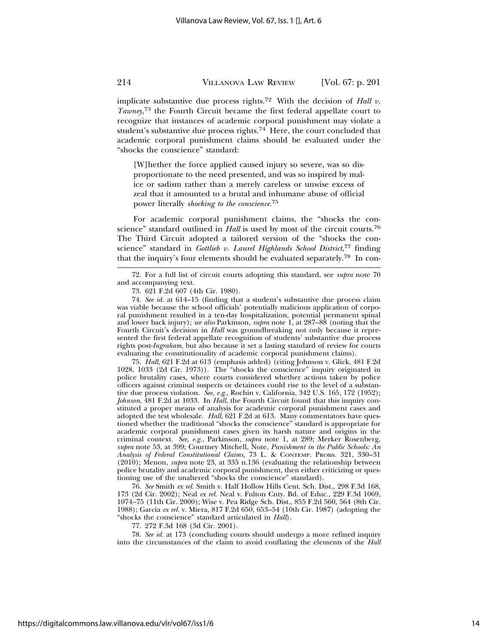implicate substantive due process rights.72 With the decision of *Hall v. Tawney*, 73 the Fourth Circuit became the first federal appellate court to recognize that instances of academic corporal punishment may violate a student's substantive due process rights.<sup>74</sup> Here, the court concluded that academic corporal punishment claims should be evaluated under the "shocks the conscience" standard:

[W]hether the force applied caused injury so severe, was so disproportionate to the need presented, and was so inspired by malice or sadism rather than a merely careless or unwise excess of zeal that it amounted to a brutal and inhumane abuse of official power literally *shocking to the conscience*. 75

For academic corporal punishment claims, the "shocks the conscience" standard outlined in *Hall* is used by most of the circuit courts.76 The Third Circuit adopted a tailored version of the "shocks the conscience" standard in *Gottlieb v. Laurel Highlands School District*, 77 finding that the inquiry's four elements should be evaluated separately.78 In con-

75. *Hall*, 621 F.2d at 613 (emphasis added) (citing Johnson v. Glick, 481 F.2d 1028, 1033 (2d Cir. 1973)). The "shocks the conscience" inquiry originated in police brutality cases, where courts considered whether actions taken by police officers against criminal suspects or detainees could rise to the level of a substantive due process violation. *See, e.g.*, Rochin v. California, 342 U.S. 165, 172 (1952); *Johnson*, 481 F.2d at 1033. In *Hall*, the Fourth Circuit found that this inquiry constituted a proper means of analysis for academic corporal punishment cases and adopted the test wholesale. *Hall*, 621 F.2d at 613. Many commentators have questioned whether the traditional "shocks the conscience" standard is appropriate for academic corporal punishment cases given its harsh nature and origins in the criminal context. *See, e.g.*, Parkinson, *supra* note 1, at 289; Merker Rosenberg, *supra* note 53, at 399; Courtney Mitchell, Note, *Punishment in the Public Schools: An Analysis of Federal Constitutional Claims*, 73 L. & CONTEMP. PROBS. 321, 330–31 (2010); Menon, *supra* note 23, at 335 n.136 (evaluating the relationship between police brutality and academic corporal punishment, then either criticizing or questioning use of the unaltered "shocks the conscience" standard).

76. *See* Smith *ex rel.* Smith v. Half Hollow Hills Cent. Sch. Dist., 298 F.3d 168, 173 (2d Cir. 2002); Neal *ex rel.* Neal v. Fulton Cnty. Bd. of Educ., 229 F.3d 1069, 1074–75 (11th Cir. 2000); Wise v. Pea Ridge Sch. Dist., 855 F.2d 560, 564 (8th Cir. 1988); Garcia *ex rel.* v. Miera, 817 F.2d 650, 653–54 (10th Cir. 1987) (adopting the "shocks the conscience" standard articulated in *Hall*).

77. 272 F.3d 168 (3d Cir. 2001).

78. *See id.* at 173 (concluding courts should undergo a more refined inquiry into the circumstances of the claim to avoid conflating the elements of the *Hall*

<sup>72.</sup> For a full list of circuit courts adopting this standard, see *supra* note 70 and accompanying text.

<sup>73. 621</sup> F.2d 607 (4th Cir. 1980).

<sup>74.</sup> *See id.* at 614–15 (finding that a student's substantive due process claim was viable because the school officials' potentially malicious application of corporal punishment resulted in a ten-day hospitalization, potential permanent spinal and lower back injury); *see also* Parkinson, *supra* note 1, at 287–88 (noting that the Fourth Circuit's decision in *Hall* was groundbreaking not only because it represented the first federal appellate recognition of students' substantive due process rights post-*Ingraham*, but also because it set a lasting standard of review for courts evaluating the constitutionality of academic corporal punishment claims).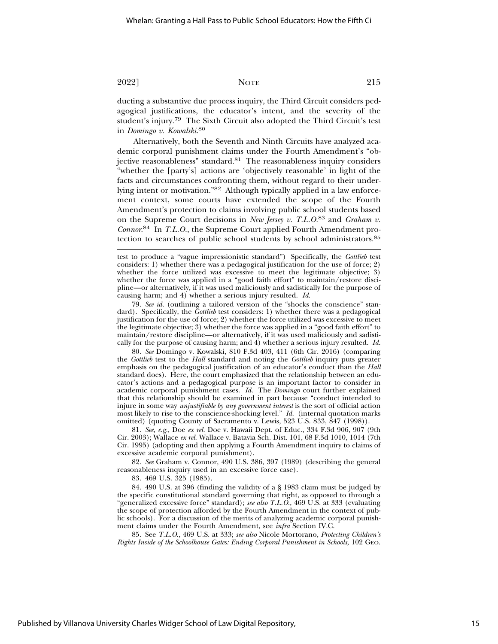ducting a substantive due process inquiry, the Third Circuit considers pedagogical justifications, the educator's intent, and the severity of the student's injury.79 The Sixth Circuit also adopted the Third Circuit's test in *Domingo v. Kowalski*. 80

Alternatively, both the Seventh and Ninth Circuits have analyzed academic corporal punishment claims under the Fourth Amendment's "objective reasonableness" standard.<sup>81</sup> The reasonableness inquiry considers "whether the [party's] actions are 'objectively reasonable' in light of the facts and circumstances confronting them, without regard to their underlying intent or motivation."82 Although typically applied in a law enforcement context, some courts have extended the scope of the Fourth Amendment's protection to claims involving public school students based on the Supreme Court decisions in *New Jersey v. T.L.O.*83 and *Graham v. Connor*. 84 In *T.L.O.*, the Supreme Court applied Fourth Amendment protection to searches of public school students by school administrators.85

79. *See id.* (outlining a tailored version of the "shocks the conscience" standard). Specifically, the *Gottlieb* test considers: 1) whether there was a pedagogical justification for the use of force; 2) whether the force utilized was excessive to meet the legitimate objective; 3) whether the force was applied in a "good faith effort" to maintain/restore discipline—or alternatively, if it was used maliciously and sadistically for the purpose of causing harm; and 4) whether a serious injury resulted. *Id.*

80. *See* Domingo v. Kowalski, 810 F.3d 403, 411 (6th Cir. 2016) (comparing the *Gottlieb* test to the *Hall* standard and noting the *Gottlieb* inquiry puts greater emphasis on the pedagogical justification of an educator's conduct than the *Hall* standard does). Here, the court emphasized that the relationship between an educator's actions and a pedagogical purpose is an important factor to consider in academic corporal punishment cases. *Id.* The *Domingo* court further explained that this relationship should be examined in part because "conduct intended to injure in some way *unjustifiable by any government interest* is the sort of official action most likely to rise to the conscience-shocking level." *Id.* (internal quotation marks omitted) (quoting County of Sacramento v. Lewis, 523 U.S. 833, 847 (1998)).

81. *See, e.g.*, Doe *ex rel.* Doe v. Hawaii Dept. of Educ., 334 F.3d 906, 907 (9th Cir. 2003); Wallace *ex rel.* Wallace v. Batavia Sch. Dist. 101, 68 F.3d 1010, 1014 (7th Cir. 1995) (adopting and then applying a Fourth Amendment inquiry to claims of excessive academic corporal punishment).

82. *See* Graham v. Connor, 490 U.S. 386, 397 (1989) (describing the general reasonableness inquiry used in an excessive force case).

83. 469 U.S. 325 (1985).

84. 490 U.S. at 396 (finding the validity of a § 1983 claim must be judged by the specific constitutional standard governing that right, as opposed to through a "generalized excessive force" standard); *see also T.L.O*., 469 U.S. at 333 (evaluating the scope of protection afforded by the Fourth Amendment in the context of public schools). For a discussion of the merits of analyzing academic corporal punishment claims under the Fourth Amendment, see *infra* Section IV.C.

85. See *T.L.O*., 469 U.S. at 333; *see also* Nicole Mortorano, *Protecting Children's Rights Inside of the Schoolhouse Gates: Ending Corporal Punishment in Schools*, 102 GEO.

test to produce a "vague impressionistic standard") Specifically, the *Gottlieb* test considers: 1) whether there was a pedagogical justification for the use of force; 2) whether the force utilized was excessive to meet the legitimate objective; 3) whether the force was applied in a "good faith effort" to maintain/restore discipline—or alternatively, if it was used maliciously and sadistically for the purpose of causing harm; and 4) whether a serious injury resulted. *Id.*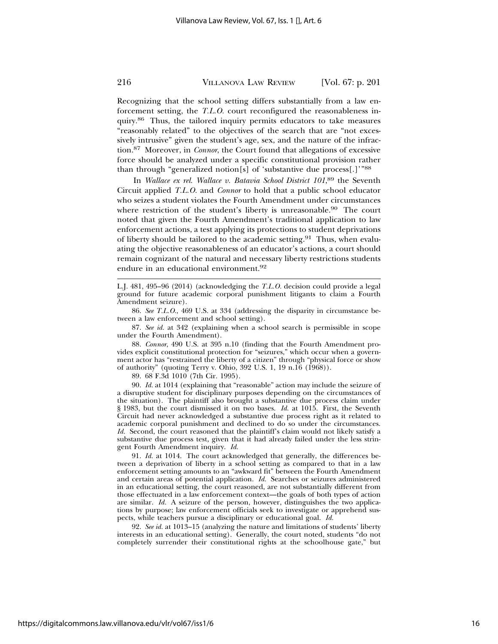Recognizing that the school setting differs substantially from a law enforcement setting, the *T.L.O.* court reconfigured the reasonableness inquiry.86 Thus, the tailored inquiry permits educators to take measures "reasonably related" to the objectives of the search that are "not excessively intrusive" given the student's age, sex, and the nature of the infraction.87 Moreover, in *Connor*, the Court found that allegations of excessive force should be analyzed under a specific constitutional provision rather than through "generalized notion[s] of 'substantive due process[.]'"88

In *Wallace ex rel. Wallace v. Batavia School District 101*, 89 the Seventh Circuit applied *T.L.O.* and *Connor* to hold that a public school educator who seizes a student violates the Fourth Amendment under circumstances where restriction of the student's liberty is unreasonable.<sup>90</sup> The court noted that given the Fourth Amendment's traditional application to law enforcement actions, a test applying its protections to student deprivations of liberty should be tailored to the academic setting.<sup>91</sup> Thus, when evaluating the objective reasonableness of an educator's actions, a court should remain cognizant of the natural and necessary liberty restrictions students endure in an educational environment.<sup>92</sup>

L.J. 481, 495–96 (2014) (acknowledging the *T.L.O.* decision could provide a legal ground for future academic corporal punishment litigants to claim a Fourth Amendment seizure).

86. *See T.L.O*., 469 U.S. at 334 (addressing the disparity in circumstance between a law enforcement and school setting).

87. *See id.* at 342 (explaining when a school search is permissible in scope under the Fourth Amendment).

88. *Connor*, 490 U.S. at 395 n.10 (finding that the Fourth Amendment provides explicit constitutional protection for "seizures," which occur when a government actor has "restrained the liberty of a citizen" through "physical force or show of authority" (quoting Terry v. Ohio, 392 U.S. 1, 19 n.16 (1968)).

89. 68 F.3d 1010 (7th Cir. 1995).

90. *Id.* at 1014 (explaining that "reasonable" action may include the seizure of a disruptive student for disciplinary purposes depending on the circumstances of the situation). The plaintiff also brought a substantive due process claim under § 1983, but the court dismissed it on two bases. *Id.* at 1015. First, the Seventh Circuit had never acknowledged a substantive due process right as it related to academic corporal punishment and declined to do so under the circumstances. *Id.* Second, the court reasoned that the plaintiff's claim would not likely satisfy a substantive due process test, given that it had already failed under the less stringent Fourth Amendment inquiry. *Id.*

91. *Id.* at 1014. The court acknowledged that generally, the differences between a deprivation of liberty in a school setting as compared to that in a law enforcement setting amounts to an "awkward fit" between the Fourth Amendment and certain areas of potential application. *Id.* Searches or seizures administered in an educational setting, the court reasoned, are not substantially different from those effectuated in a law enforcement context—the goals of both types of action are similar. *Id.* A seizure of the person, however, distinguishes the two applications by purpose; law enforcement officials seek to investigate or apprehend suspects, while teachers pursue a disciplinary or educational goal. *Id.*

92. *See id.* at 1013–15 (analyzing the nature and limitations of students' liberty interests in an educational setting). Generally, the court noted, students "do not completely surrender their constitutional rights at the schoolhouse gate," but

https://digitalcommons.law.villanova.edu/vlr/vol67/iss1/6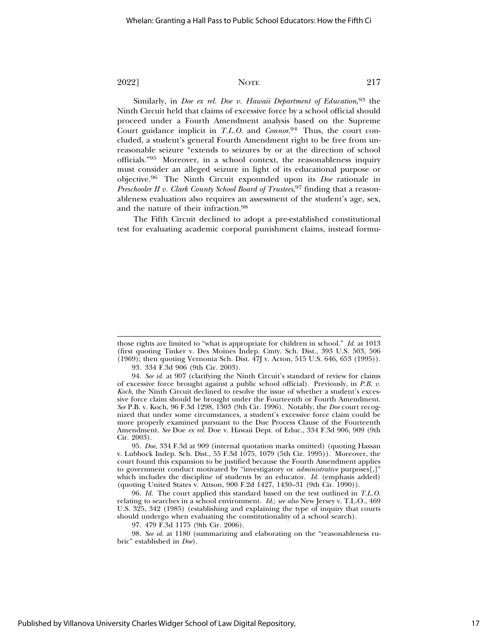Similarly, in *Doe ex rel. Doe v. Hawaii Department of Education*, 93 the Ninth Circuit held that claims of excessive force by a school official should proceed under a Fourth Amendment analysis based on the Supreme Court guidance implicit in *T.L.O.* and *Connor*. 94 Thus, the court concluded, a student's general Fourth Amendment right to be free from unreasonable seizure "extends to seizures by or at the direction of school officials."95 Moreover, in a school context, the reasonableness inquiry must consider an alleged seizure in light of its educational purpose or objective.96 The Ninth Circuit expounded upon its *Doe* rationale in *Preschooler II v. Clark County School Board of Trustees*, 97 finding that a reasonableness evaluation also requires an assessment of the student's age, sex,

The Fifth Circuit declined to adopt a pre-established constitutional test for evaluating academic corporal punishment claims, instead formu-

and the nature of their infraction.98

95. *Doe*, 334 F.3d at 909 (internal quotation marks omitted) (quoting Hassan v. Lubbock Indep. Sch. Dist., 55 F.3d 1075, 1079 (5th Cir. 1995)). Moreover, the court found this expansion to be justified because the Fourth Amendment applies to government conduct motivated by "investigatory or *administrative* purposes[,]" which includes the discipline of students by an educator. *Id.* (emphasis added) (quoting United States v. Attson, 900 F.2d 1427, 1430–31 (9th Cir. 1990)).

96. *Id.* The court applied this standard based on the test outlined in *T.L.O.* relating to searches in a school environment. *Id*.; *see also* New Jersey v. T.L.O., 469 U.S. 325, 342 (1985) (establishing and explaining the type of inquiry that courts should undergo when evaluating the constitutionality of a school search).

97. 479 F.3d 1175 (9th Cir. 2006).

98. *See id.* at 1180 (summarizing and elaborating on the "reasonableness rubric" established in *Doe*).

those rights are limited to "what is appropriate for children in school." *Id.* at 1013 (first quoting Tinker v. Des Moines Indep. Cmty. Sch. Dist., 393 U.S. 503, 506 (1969); then quoting Vernonia Sch. Dist. 47J v. Acton, 515 U.S. 646, 653 (1995)).

<sup>93. 334</sup> F.3d 906 (9th Cir. 2003).

<sup>94.</sup> *See id.* at 907 (clarifying the Ninth Circuit's standard of review for claims of excessive force brought against a public school official). Previously, in *P.B. v. Koch*, the Ninth Circuit declined to resolve the issue of whether a student's excessive force claim should be brought under the Fourteenth or Fourth Amendment. *See* P.B. v. Koch, 96 F.3d 1298, 1303 (9th Cir. 1996). Notably, the *Doe* court recognized that under some circumstances, a student's excessive force claim could be more properly examined pursuant to the Due Process Clause of the Fourteenth Amendment. *See* Doe *ex rel.* Doe v. Hawaii Dept. of Educ., 334 F.3d 906, 909 (9th Cir. 2003).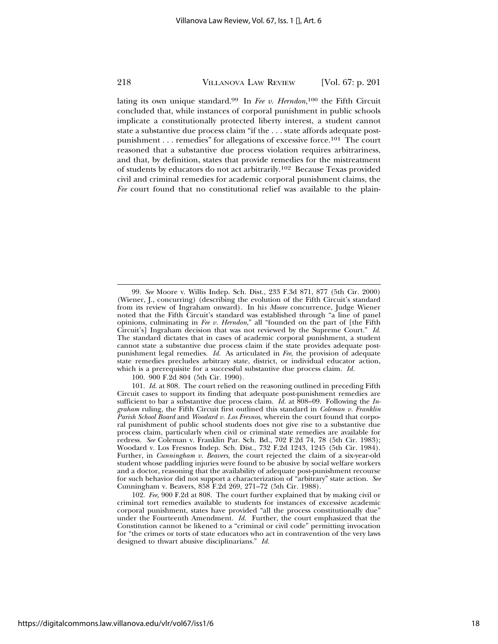lating its own unique standard.99 In *Fee v. Herndon*, 100 the Fifth Circuit concluded that, while instances of corporal punishment in public schools implicate a constitutionally protected liberty interest, a student cannot state a substantive due process claim "if the . . . state affords adequate postpunishment . . . remedies" for allegations of excessive force.<sup>101</sup> The court reasoned that a substantive due process violation requires arbitrariness, and that, by definition, states that provide remedies for the mistreatment of students by educators do not act arbitrarily.102 Because Texas provided civil and criminal remedies for academic corporal punishment claims, the *Fee* court found that no constitutional relief was available to the plain-

100. 900 F.2d 804 (5th Cir. 1990).

<sup>99.</sup> *See* Moore v. Willis Indep. Sch. Dist., 233 F.3d 871, 877 (5th Cir. 2000) (Wiener, J., concurring) (describing the evolution of the Fifth Circuit's standard from its review of Ingraham onward). In hi*s Moore* concurrence, Judge Wiener noted that the Fifth Circuit's standard was established through "a line of panel opinions, culminating in *Fee v. Herndon*," all "founded on the part of [the Fifth Circuit's] Ingraham decision that was not reviewed by the Supreme Court." *Id.* The standard dictates that in cases of academic corporal punishment, a student cannot state a substantive due process claim if the state provides adequate postpunishment legal remedies. *Id.* As articulated in *Fee*, the provision of adequate state remedies precludes arbitrary state, district, or individual educator action, which is a prerequisite for a successful substantive due process claim. *Id.*

<sup>101.</sup> *Id.* at 808. The court relied on the reasoning outlined in preceding Fifth Circuit cases to support its finding that adequate post-punishment remedies are sufficient to bar a substantive due process claim. *Id.* at 808-09. Following the *Ingraham* ruling, the Fifth Circuit first outlined this standard in *Coleman v. Franklin Parish School Board* and *Woodard v. Los Fresnos*, wherein the court found that corporal punishment of public school students does not give rise to a substantive due process claim, particularly when civil or criminal state remedies are available for redress. *See* Coleman v. Franklin Par. Sch. Bd., 702 F.2d 74, 78 (5th Cir. 1983); Woodard v. Los Fresnos Indep. Sch. Dist., 732 F.2d 1243, 1245 (5th Cir. 1984). Further, in *Cunningham v. Beavers*, the court rejected the claim of a six-year-old student whose paddling injuries were found to be abusive by social welfare workers and a doctor, reasoning that the availability of adequate post-punishment recourse for such behavior did not support a characterization of "arbitrary" state action. *See* Cunningham v. Beavers, 858 F.2d 269, 271–72 (5th Cir. 1988).

<sup>102.</sup> *Fee*, 900 F.2d at 808. The court further explained that by making civil or criminal tort remedies available to students for instances of excessive academic corporal punishment, states have provided "all the process constitutionally due" under the Fourteenth Amendment. *Id.* Further, the court emphasized that the Constitution cannot be likened to a "criminal or civil code" permitting invocation for "the crimes or torts of state educators who act in contravention of the very laws designed to thwart abusive disciplinarians." *Id.*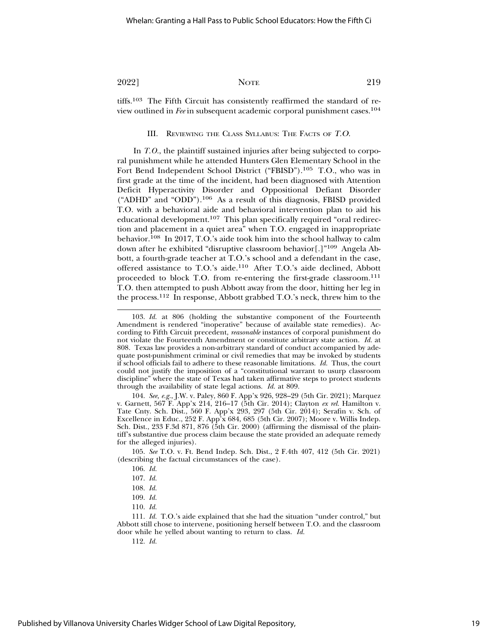tiffs.103 The Fifth Circuit has consistently reaffirmed the standard of review outlined in *Fee* in subsequent academic corporal punishment cases.104

#### III. REVIEWING THE CLASS SYLLABUS: THE FACTS OF T.O.

In *T.O.*, the plaintiff sustained injuries after being subjected to corporal punishment while he attended Hunters Glen Elementary School in the Fort Bend Independent School District ("FBISD").105 T.O., who was in first grade at the time of the incident, had been diagnosed with Attention Deficit Hyperactivity Disorder and Oppositional Defiant Disorder ("ADHD" and "ODD").106 As a result of this diagnosis, FBISD provided T.O. with a behavioral aide and behavioral intervention plan to aid his educational development.107 This plan specifically required "oral redirection and placement in a quiet area" when T.O. engaged in inappropriate behavior.108 In 2017, T.O.'s aide took him into the school hallway to calm down after he exhibited "disruptive classroom behavior[.]"109 Angela Abbott, a fourth-grade teacher at T.O.'s school and a defendant in the case, offered assistance to T.O.'s aide.110 After T.O.'s aide declined, Abbott proceeded to block T.O. from re-entering the first-grade classroom.111 T.O. then attempted to push Abbott away from the door, hitting her leg in the process.112 In response, Abbott grabbed T.O.'s neck, threw him to the

104. *See, e.g.*, J.W. v. Paley, 860 F. App'x 926, 928–29 (5th Cir. 2021); Marquez v. Garnett, 567 F. App'x 214, 216–17 (5th Cir. 2014); Clayton *ex rel.* Hamilton v. Tate Cnty. Sch. Dist., 560 F. App'x 293, 297 (5th Cir. 2014); Serafin v. Sch. of Excellence in Educ., 252 F. App'x 684, 685 (5th Cir. 2007); Moore v. Willis Indep. Sch. Dist., 233 F.3d 871, 876 (5th Cir. 2000) (affirming the dismissal of the plaintiff's substantive due process claim because the state provided an adequate remedy for the alleged injuries).

105. *See* T.O. v. Ft. Bend Indep. Sch. Dist., 2 F.4th 407, 412 (5th Cir. 2021) (describing the factual circumstances of the case).

<sup>103.</sup> *Id.* at 806 (holding the substantive component of the Fourteenth Amendment is rendered "inoperative" because of available state remedies). According to Fifth Circuit precedent, *reasonable* instances of corporal punishment do not violate the Fourteenth Amendment or constitute arbitrary state action. *Id.* at 808. Texas law provides a non-arbitrary standard of conduct accompanied by adequate post-punishment criminal or civil remedies that may be invoked by students if school officials fail to adhere to these reasonable limitations. *Id.* Thus, the court could not justify the imposition of a "constitutional warrant to usurp classroom discipline" where the state of Texas had taken affirmative steps to protect students through the availability of state legal actions. *Id.* at 809.

<sup>106.</sup> *Id.*

<sup>107.</sup> *Id.*

<sup>108.</sup> *Id.*

<sup>109.</sup> *Id.*

<sup>110.</sup> *Id.*

<sup>111.</sup> *Id.* T.O.'s aide explained that she had the situation "under control," but Abbott still chose to intervene, positioning herself between T.O. and the classroom door while he yelled about wanting to return to class. *Id.*

<sup>112.</sup> *Id.*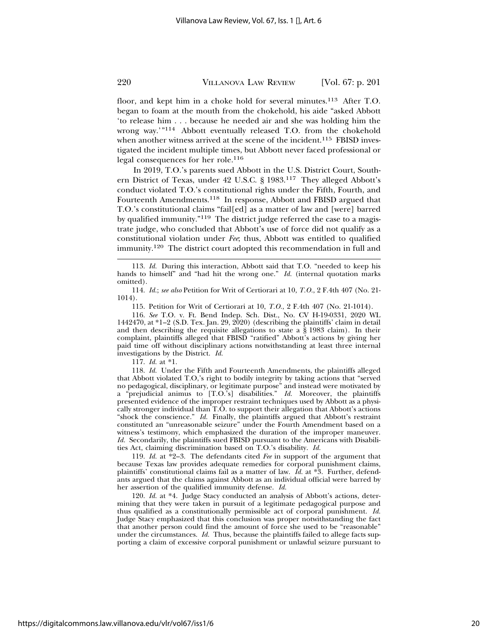floor, and kept him in a choke hold for several minutes.<sup>113</sup> After T.O. began to foam at the mouth from the chokehold, his aide "asked Abbott 'to release him . . . because he needed air and she was holding him the wrong way.'"114 Abbott eventually released T.O. from the chokehold when another witness arrived at the scene of the incident.<sup>115</sup> FBISD investigated the incident multiple times, but Abbott never faced professional or legal consequences for her role.116

In 2019, T.O.'s parents sued Abbott in the U.S. District Court, Southern District of Texas, under 42 U.S.C. § 1983.117 They alleged Abbott's conduct violated T.O.'s constitutional rights under the Fifth, Fourth, and Fourteenth Amendments.118 In response, Abbott and FBISD argued that T.O.'s constitutional claims "fail[ed] as a matter of law and [were] barred by qualified immunity."119 The district judge referred the case to a magistrate judge, who concluded that Abbott's use of force did not qualify as a constitutional violation under *Fee*; thus, Abbott was entitled to qualified immunity.120 The district court adopted this recommendation in full and

116. *See* T.O. v. Ft. Bend Indep. Sch. Dist., No. CV H-19-0331, 2020 WL 1442470, at \*1–2 (S.D. Tex. Jan. 29, 2020) (describing the plaintiffs' claim in detail and then describing the requisite allegations to state a § 1983 claim). In their complaint, plaintiffs alleged that FBISD "ratified" Abbott's actions by giving her paid time off without disciplinary actions notwithstanding at least three internal investigations by the District. *Id.*

117. *Id.* at \*1.

118. *Id.* Under the Fifth and Fourteenth Amendments, the plaintiffs alleged that Abbott violated T.O,'s right to bodily integrity by taking actions that "served no pedagogical, disciplinary, or legitimate purpose" and instead were motivated by a "prejudicial animus to [T.O.'s] disabilities." *Id.* Moreover, the plaintiffs presented evidence of the improper restraint techniques used by Abbott as a physically stronger individual than T.O. to support their allegation that Abbott's actions "shock the conscience." *Id.* Finally, the plaintiffs argued that Abbott's restraint constituted an "unreasonable seizure" under the Fourth Amendment based on a witness's testimony, which emphasized the duration of the improper maneuver. *Id.* Secondarily, the plaintiffs sued FBISD pursuant to the Americans with Disabilities Act, claiming discrimination based on T.O.'s disability. *Id.*

119. *Id.* at \*2–3. The defendants cited *Fee* in support of the argument that because Texas law provides adequate remedies for corporal punishment claims, plaintiffs' constitutional claims fail as a matter of law. *Id.* at \*3. Further, defendants argued that the claims against Abbott as an individual official were barred by her assertion of the qualified immunity defense. *Id.*

120. *Id.* at \*4. Judge Stacy conducted an analysis of Abbott's actions, determining that they were taken in pursuit of a legitimate pedagogical purpose and thus qualified as a constitutionally permissible act of corporal punishment. *Id.* Judge Stacy emphasized that this conclusion was proper notwithstanding the fact that another person could find the amount of force she used to be "reasonable" under the circumstances. *Id.* Thus, because the plaintiffs failed to allege facts supporting a claim of excessive corporal punishment or unlawful seizure pursuant to

<sup>113.</sup> *Id.* During this interaction, Abbott said that T.O. "needed to keep his hands to himself" and "had hit the wrong one." *Id.* (internal quotation marks omitted).

<sup>114.</sup> *Id.*; *see also* Petition for Writ of Certiorari at 10, *T.O.*, 2 F.4th 407 (No. 21- 1014).

<sup>115.</sup> Petition for Writ of Certiorari at 10, *T.O.*, 2 F.4th 407 (No. 21-1014).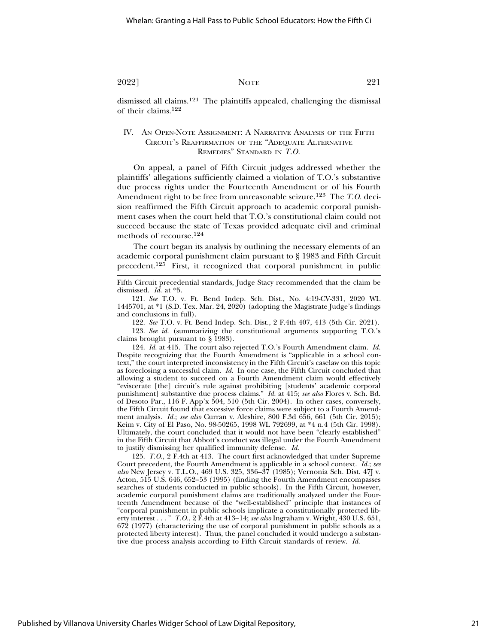dismissed all claims.121 The plaintiffs appealed, challenging the dismissal of their claims.122

### IV. AN OPEN-NOTE ASSIGNMENT: A NARRATIVE ANALYSIS OF THE FIFTH CIRCUIT'S REAFFIRMATION OF THE "ADEQUATE ALTERNATIVE REMEDIES" STANDARD IN *T.O.*

On appeal, a panel of Fifth Circuit judges addressed whether the plaintiffs' allegations sufficiently claimed a violation of T.O.'s substantive due process rights under the Fourteenth Amendment or of his Fourth Amendment right to be free from unreasonable seizure.123 The *T.O.* decision reaffirmed the Fifth Circuit approach to academic corporal punishment cases when the court held that T.O.'s constitutional claim could not succeed because the state of Texas provided adequate civil and criminal methods of recourse.124

The court began its analysis by outlining the necessary elements of an academic corporal punishment claim pursuant to § 1983 and Fifth Circuit precedent.125 First, it recognized that corporal punishment in public

Fifth Circuit precedential standards, Judge Stacy recommended that the claim be dismissed. *Id.* at \*5.

121. *See* T.O. v. Ft. Bend Indep. Sch. Dist., No. 4:19-CV-331, 2020 WL 1445701, at \*1 (S.D. Tex. Mar. 24, 2020) (adopting the Magistrate Judge's findings and conclusions in full).

122. *See* T.O. v. Ft. Bend Indep. Sch. Dist., 2 F.4th 407, 413 (5th Cir. 2021).

123. *See id.* (summarizing the constitutional arguments supporting T.O.'s claims brought pursuant to § 1983).

124. *Id.* at 415. The court also rejected T.O.'s Fourth Amendment claim. *Id.* Despite recognizing that the Fourth Amendment is "applicable in a school context," the court interpreted inconsistency in the Fifth Circuit's caselaw on this topic as foreclosing a successful claim. *Id.* In one case, the Fifth Circuit concluded that allowing a student to succeed on a Fourth Amendment claim would effectively "eviscerate [the] circuit's rule against prohibiting [students' academic corporal punishment] substantive due process claims." *Id.* at 415; *see also* Flores v. Sch. Bd. of Desoto Par., 116 F. App'x 504, 510 (5th Cir. 2004). In other cases, conversely, the Fifth Circuit found that excessive force claims were subject to a Fourth Amendment analysis. *Id.*; *see also* Curran v. Aleshire, 800 F.3d 656, 661 (5th Cir. 2015); Keim v. City of El Paso, No. 98-50265, 1998 WL 792699, at \*4 n.4 (5th Cir. 1998). Ultimately, the court concluded that it would not have been "clearly established" in the Fifth Circuit that Abbott's conduct was illegal under the Fourth Amendment to justify dismissing her qualified immunity defense. *Id.*

125. *T.O.*, 2 F.4th at 413. The court first acknowledged that under Supreme Court precedent, the Fourth Amendment is applicable in a school context. *Id.*; *see also* New Jersey v. T.L.O., 469 U.S. 325, 336–37 (1985); Vernonia Sch. Dist. 47J v. Acton, 515 U.S. 646, 652–53 (1995) (finding the Fourth Amendment encompasses searches of students conducted in public schools). In the Fifth Circuit, however, academic corporal punishment claims are traditionally analyzed under the Fourteenth Amendment because of the "well-established" principle that instances of "corporal punishment in public schools implicate a constitutionally protected liberty interest . . . " *T.O.*, 2 F.4th at 413–14; *see also* Ingraham v. Wright, 430 U.S. 651, 672 (1977) (characterizing the use of corporal punishment in public schools as a protected liberty interest). Thus, the panel concluded it would undergo a substantive due process analysis according to Fifth Circuit standards of review. *Id.*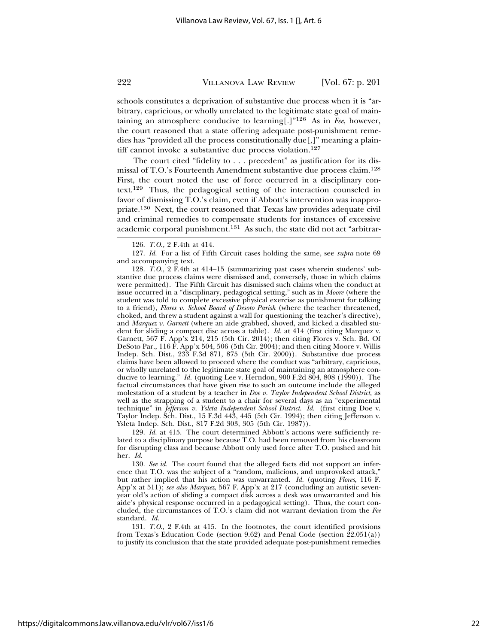schools constitutes a deprivation of substantive due process when it is "arbitrary, capricious, or wholly unrelated to the legitimate state goal of maintaining an atmosphere conducive to learning[.]"126 As in *Fee*, however, the court reasoned that a state offering adequate post-punishment remedies has "provided all the process constitutionally due[,]" meaning a plaintiff cannot invoke a substantive due process violation.<sup>127</sup>

The court cited "fidelity to . . . precedent" as justification for its dismissal of T.O.'s Fourteenth Amendment substantive due process claim.128 First, the court noted the use of force occurred in a disciplinary context.129 Thus, the pedagogical setting of the interaction counseled in favor of dismissing T.O.'s claim, even if Abbott's intervention was inappropriate.130 Next, the court reasoned that Texas law provides adequate civil and criminal remedies to compensate students for instances of excessive academic corporal punishment.131 As such, the state did not act "arbitrar-

127. *Id.* For a list of Fifth Circuit cases holding the same, see *supra* note 69 and accompanying text.

128. *T.O.*, 2 F.4th at 414–15 (summarizing past cases wherein students' substantive due process claims were dismissed and, conversely, those in which claims were permitted). The Fifth Circuit has dismissed such claims when the conduct at issue occurred in a "disciplinary, pedagogical setting," such as in *Moore* (where the student was told to complete excessive physical exercise as punishment for talking to a friend), *Flores v. School Board of Desoto Parish* (where the teacher threatened, choked, and threw a student against a wall for questioning the teacher's directive), and *Marquez v. Garnett* (where an aide grabbed, shoved, and kicked a disabled student for sliding a compact disc across a table). *Id.* at 414 (first citing Marquez v. Garnett, 567 F. App'x 214, 215 (5th Cir. 2014); then citing Flores v. Sch. Bd. Of DeSoto Par., 116 F. App'x 504, 506 (5th Cir. 2004); and then citing Moore v. Willis Indep. Sch. Dist., 233 F.3d 871, 875 (5th Cir. 2000)). Substantive due process claims have been allowed to proceed where the conduct was "arbitrary, capricious, or wholly unrelated to the legitimate state goal of maintaining an atmosphere conducive to learning." *Id.* (quoting Lee v. Herndon, 900 F.2d 804, 808 (1990)). The factual circumstances that have given rise to such an outcome include the alleged molestation of a student by a teacher in *Doe v. Taylor Independent School District*, as well as the strapping of a student to a chair for several days as an "experimental technique" in *Jefferson v. Ysleta Independent School District*. *Id.* (first citing Doe v. Taylor Indep. Sch. Dist., 15 F.3d 443, 445 (5th Cir. 1994); then citing Jefferson v. Ysleta Indep. Sch. Dist., 817 F.2d 303, 305 (5th Cir. 1987)).

129. *Id.* at 415. The court determined Abbott's actions were sufficiently related to a disciplinary purpose because T.O. had been removed from his classroom for disrupting class and because Abbott only used force after T.O. pushed and hit her. *Id.*

130. *See id.* The court found that the alleged facts did not support an inference that T.O. was the subject of a "random, malicious, and unprovoked attack," but rather implied that his action was unwarranted. *Id.* (quoting *Flores*, 116 F. App'x at 511); *see also Marquez*, 567 F. App'x at 217 (concluding an autistic sevenyear old's action of sliding a compact disk across a desk was unwarranted and his aide's physical response occurred in a pedagogical setting). Thus, the court concluded, the circumstances of T.O.'s claim did not warrant deviation from the *Fee* standard. *Id.*

131. *T.O*., 2 F.4th at 415. In the footnotes, the court identified provisions from Texas's Education Code (section 9.62) and Penal Code (section  $\hat{22.051(a)}$ ) to justify its conclusion that the state provided adequate post-punishment remedies

<sup>126.</sup> *T.O.*, 2 F.4th at 414.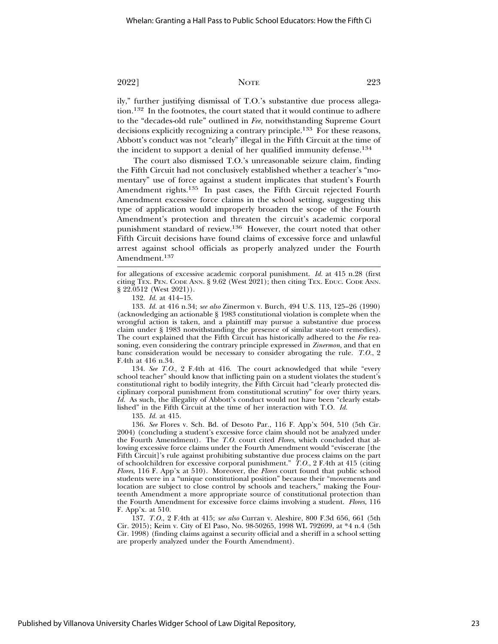ily," further justifying dismissal of T.O.'s substantive due process allegation.132 In the footnotes, the court stated that it would continue to adhere to the "decades-old rule" outlined in *Fee*, notwithstanding Supreme Court decisions explicitly recognizing a contrary principle.133 For these reasons, Abbott's conduct was not "clearly" illegal in the Fifth Circuit at the time of the incident to support a denial of her qualified immunity defense.134

The court also dismissed T.O.'s unreasonable seizure claim, finding the Fifth Circuit had not conclusively established whether a teacher's "momentary" use of force against a student implicates that student's Fourth Amendment rights.<sup>135</sup> In past cases, the Fifth Circuit rejected Fourth Amendment excessive force claims in the school setting, suggesting this type of application would improperly broaden the scope of the Fourth Amendment's protection and threaten the circuit's academic corporal punishment standard of review.136 However, the court noted that other Fifth Circuit decisions have found claims of excessive force and unlawful arrest against school officials as properly analyzed under the Fourth Amendment.<sup>137</sup>

133. *Id.* at 416 n.34; *see also* Zinermon v. Burch, 494 U.S. 113, 125–26 (1990) (acknowledging an actionable § 1983 constitutional violation is complete when the wrongful action is taken, and a plaintiff may pursue a substantive due process claim under § 1983 notwithstanding the presence of similar state-tort remedies). The court explained that the Fifth Circuit has historically adhered to the *Fee* reasoning, even considering the contrary principle expressed in *Zinermon,* and that en banc consideration would be necessary to consider abrogating the rule. *T.O.*, 2 F.4th at 416 n.34.

134. *See T.O.*, 2 F.4th at 416. The court acknowledged that while "every school teacher" should know that inflicting pain on a student violates the student's constitutional right to bodily integrity, the Fifth Circuit had "clearly protected disciplinary corporal punishment from constitutional scrutiny" for over thirty years. *Id.* As such, the illegality of Abbott's conduct would not have been "clearly established" in the Fifth Circuit at the time of her interaction with T.O. *Id.*

135. *Id.* at 415.

136. *See* Flores v. Sch. Bd. of Desoto Par., 116 F. App'x 504, 510 (5th Cir. 2004) (concluding a student's excessive force claim should not be analyzed under the Fourth Amendment). The *T.O.* court cited *Flores*, which concluded that allowing excessive force claims under the Fourth Amendment would "eviscerate [the Fifth Circuit]'s rule against prohibiting substantive due process claims on the part of schoolchildren for excessive corporal punishment." *T.O.*, 2 F.4th at 415 (citing *Flores*, 116 F. App'x at 510). Moreover, the *Flores* court found that public school students were in a "unique constitutional position" because their "movements and location are subject to close control by schools and teachers," making the Fourteenth Amendment a more appropriate source of constitutional protection than the Fourth Amendment for excessive force claims involving a student. *Flores*, 116 F. App'x. at 510.

137. *T.O.*, 2 F.4th at 415; *see also* Curran v. Aleshire, 800 F.3d 656, 661 (5th Cir. 2015); Keim v. City of El Paso, No. 98-50265, 1998 WL 792699, at \*4 n.4 (5th Cir. 1998) (finding claims against a security official and a sheriff in a school setting are properly analyzed under the Fourth Amendment).

for allegations of excessive academic corporal punishment. *Id.* at 415 n.28 (first citing TEX. PEN. CODE ANN. § 9.62 (West 2021); then citing TEX. EDUC. CODE ANN. § 22.0512 (West 2021)).

<sup>132.</sup> *Id.* at 414–15.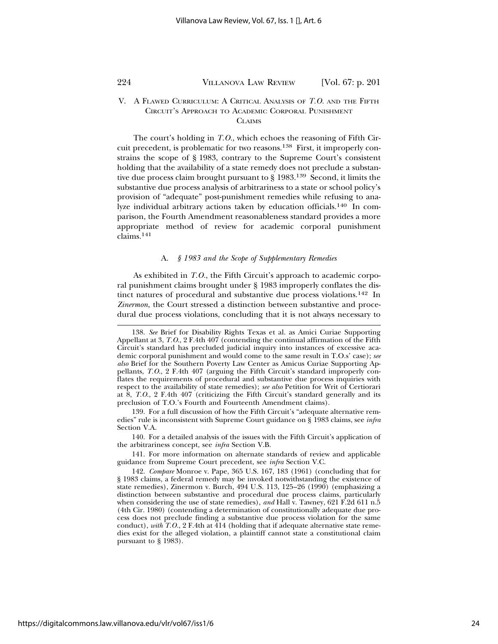#### V. A FLAWED CURRICULUM: A CRITICAL ANALYSIS OF *T.O.* AND THE FIFTH CIRCUIT'S APPROACH TO ACADEMIC CORPORAL PUNISHMENT **CLAIMS**

The court's holding in *T.O.*, which echoes the reasoning of Fifth Circuit precedent, is problematic for two reasons.<sup>138</sup> First, it improperly constrains the scope of § 1983, contrary to the Supreme Court's consistent holding that the availability of a state remedy does not preclude a substantive due process claim brought pursuant to § 1983.139 Second, it limits the substantive due process analysis of arbitrariness to a state or school policy's provision of "adequate" post-punishment remedies while refusing to analyze individual arbitrary actions taken by education officials.140 In comparison, the Fourth Amendment reasonableness standard provides a more appropriate method of review for academic corporal punishment claims.<sup>141</sup>

#### A. *§ 1983 and the Scope of Supplementary Remedies*

As exhibited in *T.O.*, the Fifth Circuit's approach to academic corporal punishment claims brought under § 1983 improperly conflates the distinct natures of procedural and substantive due process violations.<sup>142</sup> In *Zinermon*, the Court stressed a distinction between substantive and procedural due process violations, concluding that it is not always necessary to

<sup>138.</sup> *See* Brief for Disability Rights Texas et al. as Amici Curiae Supporting Appellant at 3, *T.O*., 2 F.4th 407 (contending the continual affirmation of the Fifth Circuit's standard has precluded judicial inquiry into instances of excessive academic corporal punishment and would come to the same result in T.O.s' case); *see also* Brief for the Southern Poverty Law Center as Amicus Curiae Supporting Appellants, *T.O*., 2 F.4th 407 (arguing the Fifth Circuit's standard improperly conflates the requirements of procedural and substantive due process inquiries with respect to the availability of state remedies); *see also* Petition for Writ of Certiorari at 8, *T.O*., 2 F.4th 407 (criticizing the Fifth Circuit's standard generally and its preclusion of T.O.'s Fourth and Fourteenth Amendment claims).

<sup>139.</sup> For a full discussion of how the Fifth Circuit's "adequate alternative remedies" rule is inconsistent with Supreme Court guidance on § 1983 claims, see *infra* Section V.A.

<sup>140.</sup> For a detailed analysis of the issues with the Fifth Circuit's application of the arbitrariness concept, see *infra* Section V.B.

<sup>141.</sup> For more information on alternate standards of review and applicable guidance from Supreme Court precedent, see *infra* Section V.C.

<sup>142.</sup> *Compare* Monroe v. Pape, 365 U.S. 167, 183 (1961) (concluding that for § 1983 claims, a federal remedy may be invoked notwithstanding the existence of state remedies), Zinermon v. Burch, 494 U.S. 113, 125–26 (1990) (emphasizing a distinction between substantive and procedural due process claims, particularly when considering the use of state remedies), *and* Hall v. Tawney, 621 F.2d 611 n.5 (4th Cir. 1980) (contending a determination of constitutionally adequate due process does not preclude finding a substantive due process violation for the same conduct), *with*  $T.O.$ ,  $2$  F.4th at  $\overline{414}$  (holding that if adequate alternative state remedies exist for the alleged violation, a plaintiff cannot state a constitutional claim pursuant to § 1983).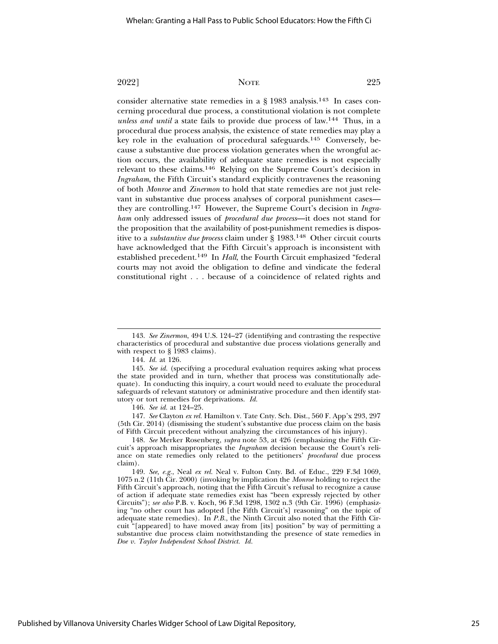consider alternative state remedies in a  $\S$  1983 analysis.<sup>143</sup> In cases concerning procedural due process, a constitutional violation is not complete *unless and until* a state fails to provide due process of law.144 Thus, in a procedural due process analysis, the existence of state remedies may play a key role in the evaluation of procedural safeguards.145 Conversely, because a substantive due process violation generates when the wrongful action occurs, the availability of adequate state remedies is not especially relevant to these claims.146 Relying on the Supreme Court's decision in *Ingraham*, the Fifth Circuit's standard explicitly contravenes the reasoning of both *Monroe* and *Zinermon* to hold that state remedies are not just relevant in substantive due process analyses of corporal punishment cases they are controlling.147 However, the Supreme Court's decision in *Ingraham* only addressed issues of *procedural due process*—it does not stand for the proposition that the availability of post-punishment remedies is dispositive to a *substantive due process* claim under § 1983.148 Other circuit courts have acknowledged that the Fifth Circuit's approach is inconsistent with established precedent.149 In *Hall*, the Fourth Circuit emphasized "federal courts may not avoid the obligation to define and vindicate the federal constitutional right . . . because of a coincidence of related rights and

<sup>143.</sup> *See Zinermon*, 494 U.S. 124–27 (identifying and contrasting the respective characteristics of procedural and substantive due process violations generally and with respect to § 1983 claims).

<sup>144.</sup> *Id.* at 126.

<sup>145.</sup> *See id.* (specifying a procedural evaluation requires asking what process the state provided and in turn, whether that process was constitutionally adequate). In conducting this inquiry, a court would need to evaluate the procedural safeguards of relevant statutory or administrative procedure and then identify statutory or tort remedies for deprivations. *Id.*

<sup>146.</sup> *See id.* at 124–25.

<sup>147.</sup> *See* Clayton *ex rel.* Hamilton v. Tate Cnty. Sch. Dist., 560 F. App'x 293, 297 (5th Cir. 2014) (dismissing the student's substantive due process claim on the basis of Fifth Circuit precedent without analyzing the circumstances of his injury).

<sup>148.</sup> *See* Merker Rosenberg, *supra* note 53, at 426 (emphasizing the Fifth Circuit's approach misappropriates the *Ingraham* decision because the Court's reliance on state remedies only related to the petitioners' *procedural* due process claim).

<sup>149.</sup> *See, e.g.*, Neal *ex rel.* Neal v. Fulton Cnty. Bd. of Educ., 229 F.3d 1069, 1075 n.2 (11th Cir. 2000) (invoking by implication the *Monroe* holding to reject the Fifth Circuit's approach, noting that the Fifth Circuit's refusal to recognize a cause of action if adequate state remedies exist has "been expressly rejected by other Circuits"); *see also* P.B. v. Koch, 96 F.3d 1298, 1302 n.3 (9th Cir. 1996) (emphasizing "no other court has adopted [the Fifth Circuit's] reasoning" on the topic of adequate state remedies). In *P.B.*, the Ninth Circuit also noted that the Fifth Circuit "[appeared] to have moved away from [its] position" by way of permitting a substantive due process claim notwithstanding the presence of state remedies in *Doe v. Taylor Independent School District. Id.*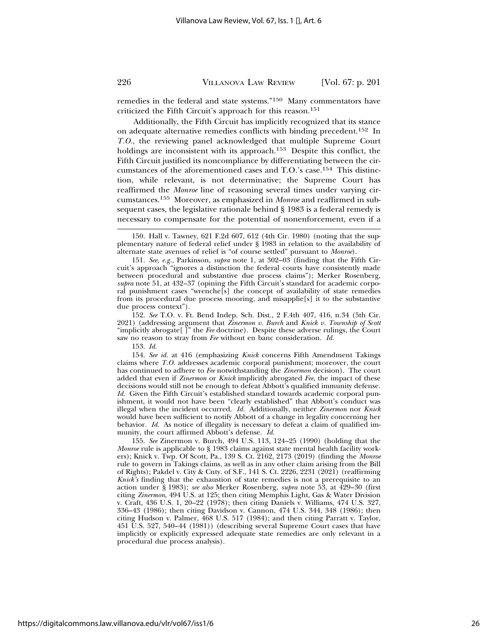remedies in the federal and state systems."150 Many commentators have criticized the Fifth Circuit's approach for this reason.151

Additionally, the Fifth Circuit has implicitly recognized that its stance on adequate alternative remedies conflicts with binding precedent.<sup>152</sup> In *T.O.*, the reviewing panel acknowledged that multiple Supreme Court holdings are inconsistent with its approach.<sup>153</sup> Despite this conflict, the Fifth Circuit justified its noncompliance by differentiating between the circumstances of the aforementioned cases and T.O.'s case.154 This distinction, while relevant, is not determinative; the Supreme Court has reaffirmed the *Monroe* line of reasoning several times under varying circumstances.155 Moreover, as emphasized in *Monroe* and reaffirmed in subsequent cases, the legislative rationale behind § 1983 is a federal remedy is necessary to compensate for the potential of nonenforcement, even if a

152. *See* T.O. v. Ft. Bend Indep. Sch. Dist., 2 F.4th 407, 416, n.34 (5th Cir. 2021) (addressing argument that *Zinermon v. Burch* and *Knick v. Township of Scott* "implicitly abrogate[ ]" the *Fee* doctrine). Despite these adverse rulings, the Court saw no reason to stray from *Fee* without en banc consideration. *Id.*

153. *Id.*

154. *See id.* at 416 (emphasizing *Knick* concerns Fifth Amendment Takings claims where *T.O.* addresses academic corporal punishment; moreover, the court has continued to adhere to *Fee* notwithstanding the *Zinermon* decision). The court added that even if *Zinermon* or *Knick* implicitly abrogated *Fee*, the impact of these decisions would still not be enough to defeat Abbott's qualified immunity defense. *Id.* Given the Fifth Circuit's established standard towards academic corporal punishment, it would not have been "clearly established" that Abbott's conduct was illegal when the incident occurred. *Id.* Additionally, neither *Zinermon* nor *Knick* would have been sufficient to notify Abbott of a change in legality concerning her behavior. *Id.* As notice of illegality is necessary to defeat a claim of qualified immunity, the court affirmed Abbott's defense. *Id.*

155. *See* Zinermon v. Burch, 494 U.S. 113, 124–25 (1990) (holding that the *Monroe* rule is applicable to § 1983 claims against state mental health facility workers); Knick v. Twp. Of Scott, Pa., 139 S. Ct. 2162, 2173 (2019) (finding the *Monroe* rule to govern in Takings claims, as well as in any other claim arising from the Bill of Rights); Pakdel v. City & Cnty. of S.F., 141 S. Ct. 2226, 2231 (2021) (reaffirming *Knick's* finding that the exhaustion of state remedies is not a prerequisite to an action under § 1983); *see also* Merker Rosenberg, *supra* note 53, at 429–30 (first citing *Zinermon*, 494 U.S. at 125; then citing Memphis Light, Gas & Water Division v. Craft, 436 U.S. 1, 20–22 (1978); then citing Daniels v. Williams, 474 U.S. 327, 336–43 (1986); then citing Davidson v. Cannon, 474 U.S. 344, 348 (1986); then citing Hudson v. Palmer, 468 U.S. 517 (1984); and then citing Parratt v. Taylor, 451 U.S. 527, 540–44 (1981)) (describing several Supreme Court cases that have implicitly or explicitly expressed adequate state remedies are only relevant in a procedural due process analysis).

<sup>150.</sup> Hall v. Tawney, 621 F.2d 607, 612 (4th Cir. 1980) (noting that the supplementary nature of federal relief under § 1983 in relation to the availability of alternate state avenues of relief is "of course settled" pursuant to *Monroe*).

<sup>151.</sup> *See, e.g.,* Parkinson, *supra* note 1, at 302–03 (finding that the Fifth Circuit's approach "ignores a distinction the federal courts have consistently made between procedural and substantive due process claims"); Merker Rosenberg, *supra* note 51, at 432–37 (opining the Fifth Circuit's standard for academic corporal punishment cases "wrenche[s] the concept of availability of state remedies from its procedural due process mooring, and misapplie[s] it to the substantive due process context").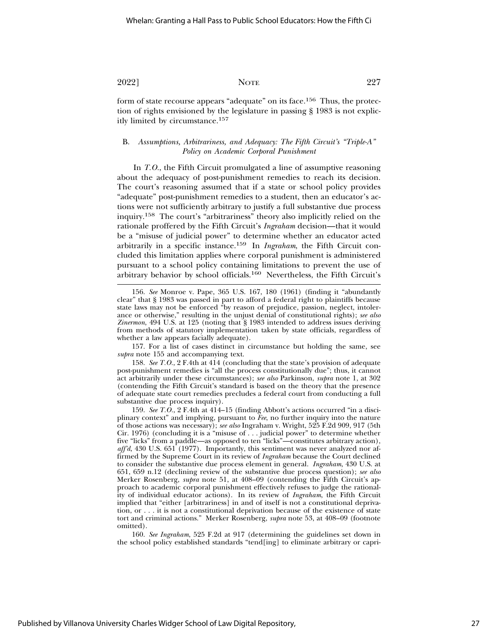form of state recourse appears "adequate" on its face.156 Thus, the protection of rights envisioned by the legislature in passing § 1983 is not explicitly limited by circumstance.157

## B. *Assumptions, Arbitrariness, and Adequacy: The Fifth Circuit's "Triple-A" Policy on Academic Corporal Punishment*

In *T.O.*, the Fifth Circuit promulgated a line of assumptive reasoning about the adequacy of post-punishment remedies to reach its decision. The court's reasoning assumed that if a state or school policy provides "adequate" post-punishment remedies to a student, then an educator's actions were not sufficiently arbitrary to justify a full substantive due process inquiry.158 The court's "arbitrariness" theory also implicitly relied on the rationale proffered by the Fifth Circuit's *Ingraham* decision—that it would be a "misuse of judicial power" to determine whether an educator acted arbitrarily in a specific instance.159 In *Ingraham*, the Fifth Circuit concluded this limitation applies where corporal punishment is administered pursuant to a school policy containing limitations to prevent the use of arbitrary behavior by school officials.160 Nevertheless, the Fifth Circuit's

157. For a list of cases distinct in circumstance but holding the same, see *supra* note 155 and accompanying text.

158. *See T.O.*, 2 F.4th at 414 (concluding that the state's provision of adequate post-punishment remedies is "all the process constitutionally due"; thus, it cannot act arbitrarily under these circumstances); *see also* Parkinson, *supra* note 1, at 302 (contending the Fifth Circuit's standard is based on the theory that the presence of adequate state court remedies precludes a federal court from conducting a full substantive due process inquiry).

<sup>156.</sup> *See* Monroe v. Pape, 365 U.S. 167, 180 (1961) (finding it "abundantly clear" that § 1983 was passed in part to afford a federal right to plaintiffs because state laws may not be enforced "by reason of prejudice, passion, neglect, intolerance or otherwise," resulting in the unjust denial of constitutional rights); *see also Zinermon*, 494 U.S. at 125 (noting that § 1983 intended to address issues deriving from methods of statutory implementation taken by state officials, regardless of whether a law appears facially adequate).

<sup>159.</sup> *See T.O.*, 2 F.4th at 414–15 (finding Abbott's actions occurred "in a disciplinary context" and implying, pursuant to *Fee*, no further inquiry into the nature of those actions was necessary); *see also* Ingraham v. Wright, 525 F.2d 909, 917 (5th Cir. 1976) (concluding it is a "misuse of . . . judicial power" to determine whether five "licks" from a paddle—as opposed to ten "licks"—constitutes arbitrary action), *aff'd*, 430 U.S. 651 (1977). Importantly, this sentiment was never analyzed nor affirmed by the Supreme Court in its review of *Ingraham* because the Court declined to consider the substantive due process element in general. *Ingraham*, 430 U.S. at 651, 659 n.12 (declining review of the substantive due process question); *see also* Merker Rosenberg, *supra* note 51, at 408–09 (contending the Fifth Circuit's approach to academic corporal punishment effectively refuses to judge the rationality of individual educator actions). In its review of *Ingraham*, the Fifth Circuit implied that "either [arbitrariness] in and of itself is not a constitutional deprivation, or . . . it is not a constitutional deprivation because of the existence of state tort and criminal actions." Merker Rosenberg, *supra* note 53, at 408–09 (footnote omitted).

<sup>160.</sup> *See Ingraham*, 525 F.2d at 917 (determining the guidelines set down in the school policy established standards "tend[ing] to eliminate arbitrary or capri-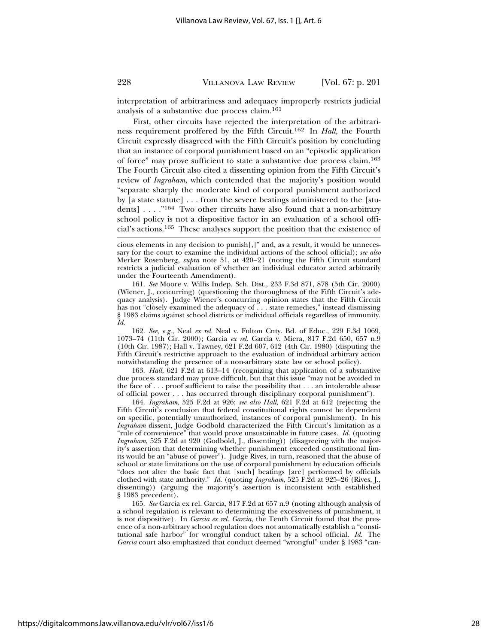interpretation of arbitrariness and adequacy improperly restricts judicial analysis of a substantive due process claim.161

First, other circuits have rejected the interpretation of the arbitrariness requirement proffered by the Fifth Circuit.162 In *Hall*, the Fourth Circuit expressly disagreed with the Fifth Circuit's position by concluding that an instance of corporal punishment based on an "episodic application of force" may prove sufficient to state a substantive due process claim.163 The Fourth Circuit also cited a dissenting opinion from the Fifth Circuit's review of *Ingraham*, which contended that the majority's position would "separate sharply the moderate kind of corporal punishment authorized by [a state statute] . . . from the severe beatings administered to the [students] . . . ."164 Two other circuits have also found that a non-arbitrary school policy is not a dispositive factor in an evaluation of a school official's actions.165 These analyses support the position that the existence of

161. *See* Moore v. Willis Indep. Sch. Dist., 233 F.3d 871, 878 (5th Cir. 2000) (Wiener, J., concurring) (questioning the thoroughness of the Fifth Circuit's adequacy analysis). Judge Wiener's concurring opinion states that the Fifth Circuit has not "closely examined the adequacy of . . . state remedies," instead dismissing § 1983 claims against school districts or individual officials regardless of immunity. *Id.*

162. *See, e.g.*, Neal *ex rel.* Neal v. Fulton Cnty. Bd. of Educ., 229 F.3d 1069, 1073–74 (11th Cir. 2000); Garcia *ex rel.* Garcia v. Miera, 817 F.2d 650, 657 n.9 (10th Cir. 1987); Hall v. Tawney, 621 F.2d 607, 612 (4th Cir. 1980) (disputing the Fifth Circuit's restrictive approach to the evaluation of individual arbitrary action notwithstanding the presence of a non-arbitrary state law or school policy).

163. *Hall*, 621 F.2d at 613–14 (recognizing that application of a substantive due process standard may prove difficult, but that this issue "may not be avoided in the face of . . . proof sufficient to raise the possibility that . . . an intolerable abuse of official power . . . has occurred through disciplinary corporal punishment").

164. *Ingraham*, 525 F.2d at 926; *see also Hall*, 621 F.2d at 612 (rejecting the Fifth Circuit's conclusion that federal constitutional rights cannot be dependent on specific, potentially unauthorized, instances of corporal punishment). In his *Ingraham* dissent, Judge Godbold characterized the Fifth Circuit's limitation as a "rule of convenience" that would prove unsustainable in future cases. *Id.* (quoting *Ingraham*, 525 F.2d at 920 (Godbold, J., dissenting)) (disagreeing with the majority's assertion that determining whether punishment exceeded constitutional limits would be an "abuse of power"). Judge Rives, in turn, reasoned that the abuse of school or state limitations on the use of corporal punishment by education officials "does not alter the basic fact that [such] beatings [are] performed by officials clothed with state authority." *Id.* (quoting *Ingraham*, 525 F.2d at 925–26 (Rives, J., dissenting)) (arguing the majority's assertion is inconsistent with established § 1983 precedent).

165. *See* Garcia ex rel. Garcia, 817 F.2d at 657 n.9 (noting although analysis of a school regulation is relevant to determining the excessiveness of punishment, it is not dispositive). In *Garcia ex rel. Garcia*, the Tenth Circuit found that the presence of a non-arbitrary school regulation does not automatically establish a "constitutional safe harbor" for wrongful conduct taken by a school official. *Id.* The *Garcia* court also emphasized that conduct deemed "wrongful" under § 1983 "can-

cious elements in any decision to punish[,]" and, as a result, it would be unnecessary for the court to examine the individual actions of the school official); *see also* Merker Rosenberg, *supra* note 51, at 420–21 (noting the Fifth Circuit standard restricts a judicial evaluation of whether an individual educator acted arbitrarily under the Fourteenth Amendment).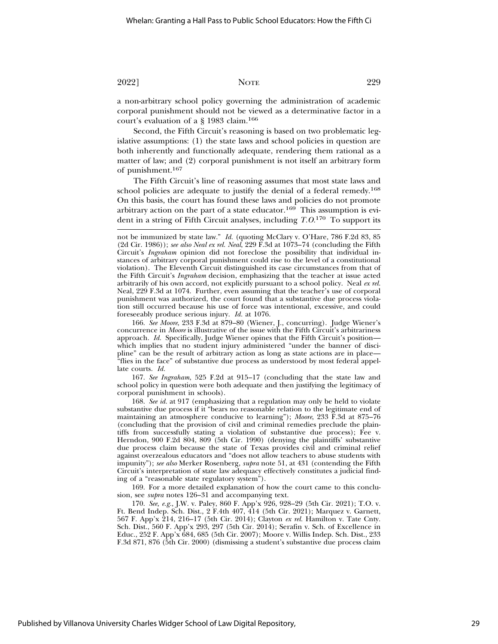a non-arbitrary school policy governing the administration of academic corporal punishment should not be viewed as a determinative factor in a court's evaluation of a § 1983 claim.166

Second, the Fifth Circuit's reasoning is based on two problematic legislative assumptions: (1) the state laws and school policies in question are both inherently and functionally adequate, rendering them rational as a matter of law; and (2) corporal punishment is not itself an arbitrary form of punishment.167

The Fifth Circuit's line of reasoning assumes that most state laws and school policies are adequate to justify the denial of a federal remedy.<sup>168</sup> On this basis, the court has found these laws and policies do not promote arbitrary action on the part of a state educator.<sup>169</sup> This assumption is evident in a string of Fifth Circuit analyses, including *T.O.*170 To support its

166. *See Moore*, 233 F.3d at 879–80 (Wiener, J., concurring). Judge Wiener's concurrence in *Moore* is illustrative of the issue with the Fifth Circuit's arbitrariness approach. *Id.* Specifically, Judge Wiener opines that the Fifth Circuit's position which implies that no student injury administered "under the banner of discipline" can be the result of arbitrary action as long as state actions are in place— "flies in the face" of substantive due process as understood by most federal appellate courts. *Id.*

167. *See Ingraham*, 525 F.2d at 915–17 (concluding that the state law and school policy in question were both adequate and then justifying the legitimacy of corporal punishment in schools).

168. *See id.* at 917 (emphasizing that a regulation may only be held to violate substantive due process if it "bears no reasonable relation to the legitimate end of maintaining an atmosphere conducive to learning"); *Moore*, 233 F.3d at 875–76 (concluding that the provision of civil and criminal remedies preclude the plaintiffs from successfully stating a violation of substantive due process); Fee v. Herndon, 900 F.2d 804, 809 (5th Cir. 1990) (denying the plaintiffs' substantive due process claim because the state of Texas provides civil and criminal relief against overzealous educators and "does not allow teachers to abuse students with impunity"); *see also* Merker Rosenberg, *supra* note 51, at 431 (contending the Fifth Circuit's interpretation of state law adequacy effectively constitutes a judicial finding of a "reasonable state regulatory system").

169. For a more detailed explanation of how the court came to this conclusion, see *supra* notes 126–31 and accompanying text.

170. *See, e.g.*, J.W. v. Paley, 860 F. App'x 926, 928–29 (5th Cir. 2021); T.O. v. Ft. Bend Indep. Sch. Dist., 2 F.4th 407, 414 (5th Cir. 2021); Marquez v. Garnett, 567 F. App'x 214, 216–17 (5th Cir. 2014); Clayton *ex rel.* Hamilton v. Tate Cnty. Sch. Dist., 560 F. App'x 293, 297 (5th Cir. 2014); Serafin v. Sch. of Excellence in Educ., 252 F. App'x 684, 685 (5th Cir. 2007); Moore v. Willis Indep. Sch. Dist., 233 F.3d 871, 876 (5th Cir. 2000) (dismissing a student's substantive due process claim

not be immunized by state law." *Id.* (quoting McClary v. O'Hare, 786 F.2d 83, 85 (2d Cir. 1986)); *see also Neal ex rel. Neal*, 229 F.3d at 1073–74 (concluding the Fifth Circuit's *Ingraham* opinion did not foreclose the possibility that individual instances of arbitrary corporal punishment could rise to the level of a constitutional violation). The Eleventh Circuit distinguished its case circumstances from that of the Fifth Circuit's *Ingraham* decision, emphasizing that the teacher at issue acted arbitrarily of his own accord, not explicitly pursuant to a school policy. Neal *ex rel.* Neal, 229 F.3d at 1074. Further, even assuming that the teacher's use of corporal punishment was authorized, the court found that a substantive due process violation still occurred because his use of force was intentional, excessive, and could foreseeably produce serious injury. *Id.* at 1076.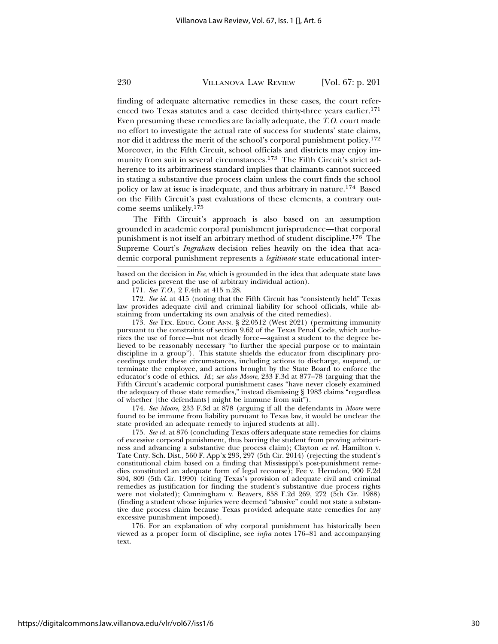finding of adequate alternative remedies in these cases, the court referenced two Texas statutes and a case decided thirty-three years earlier.<sup>171</sup> Even presuming these remedies are facially adequate, the *T.O.* court made no effort to investigate the actual rate of success for students' state claims, nor did it address the merit of the school's corporal punishment policy.172 Moreover, in the Fifth Circuit, school officials and districts may enjoy immunity from suit in several circumstances.173 The Fifth Circuit's strict adherence to its arbitrariness standard implies that claimants cannot succeed in stating a substantive due process claim unless the court finds the school policy or law at issue is inadequate, and thus arbitrary in nature.174 Based on the Fifth Circuit's past evaluations of these elements, a contrary outcome seems unlikely.175

The Fifth Circuit's approach is also based on an assumption grounded in academic corporal punishment jurisprudence—that corporal punishment is not itself an arbitrary method of student discipline.176 The Supreme Court's *Ingraham* decision relies heavily on the idea that academic corporal punishment represents a *legitimate* state educational inter-

171. *See T.O.*, 2 F.4th at 415 n.28.

172. *See id.* at 415 (noting that the Fifth Circuit has "consistently held" Texas law provides adequate civil and criminal liability for school officials, while abstaining from undertaking its own analysis of the cited remedies).

173. *See* TEX. EDUC. CODE ANN. § 22.0512 (West 2021) (permitting immunity pursuant to the constraints of section 9.62 of the Texas Penal Code, which authorizes the use of force—but not deadly force—against a student to the degree believed to be reasonably necessary "to further the special purpose or to maintain discipline in a group"). This statute shields the educator from disciplinary proceedings under these circumstances, including actions to discharge, suspend, or terminate the employee, and actions brought by the State Board to enforce the educator's code of ethics. *Id*.; *see also Moore*, 233 F.3d at 877–78 (arguing that the Fifth Circuit's academic corporal punishment cases "have never closely examined the adequacy of those state remedies," instead dismissing § 1983 claims "regardless of whether [the defendants] might be immune from suit").

174. *See Moore*, 233 F.3d at 878 (arguing if all the defendants in *Moore* were found to be immune from liability pursuant to Texas law, it would be unclear the state provided an adequate remedy to injured students at all).

175. *See id.* at 876 (concluding Texas offers adequate state remedies for claims of excessive corporal punishment, thus barring the student from proving arbitrariness and advancing a substantive due process claim); Clayton *ex rel.* Hamilton v. Tate Cnty. Sch. Dist., 560 F. App'x 293, 297 (5th Cir. 2014) (rejecting the student's constitutional claim based on a finding that Mississippi's post-punishment remedies constituted an adequate form of legal recourse); Fee v. Herndon, 900 F.2d 804, 809 (5th Cir. 1990) (citing Texas's provision of adequate civil and criminal remedies as justification for finding the student's substantive due process rights were not violated); Cunningham v. Beavers, 858 F.2d 269, 272 (5th Cir. 1988) (finding a student whose injuries were deemed "abusive" could not state a substantive due process claim because Texas provided adequate state remedies for any excessive punishment imposed).

176. For an explanation of why corporal punishment has historically been viewed as a proper form of discipline, see *infra* notes 176–81 and accompanying text.

based on the decision in *Fee*, which is grounded in the idea that adequate state laws and policies prevent the use of arbitrary individual action).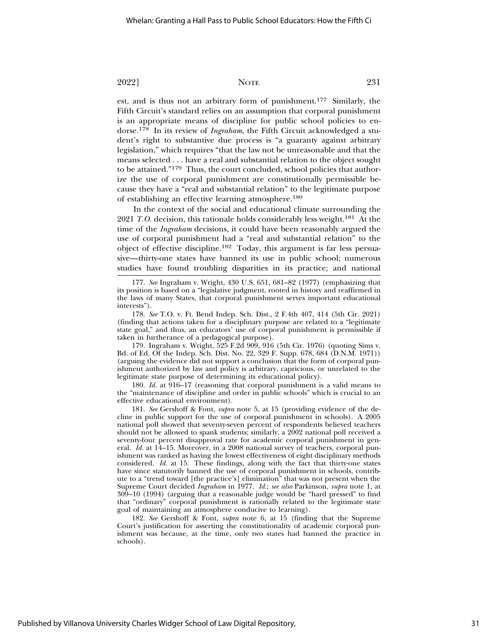est, and is thus not an arbitrary form of punishment.177 Similarly, the Fifth Circuit's standard relies on an assumption that corporal punishment is an appropriate means of discipline for public school policies to endorse.178 In its review of *Ingraham*, the Fifth Circuit acknowledged a student's right to substantive due process is "a guaranty against arbitrary legislation," which requires "that the law not be unreasonable and that the means selected . . . have a real and substantial relation to the object sought to be attained."179 Thus, the court concluded, school policies that authorize the use of corporal punishment are constitutionally permissible because they have a "real and substantial relation" to the legitimate purpose of establishing an effective learning atmosphere.180

In the context of the social and educational climate surrounding the 2021 *T.O.* decision, this rationale holds considerably less weight.181 At the time of the *Ingraham* decisions, it could have been reasonably argued the use of corporal punishment had a "real and substantial relation" to the object of effective discipline.182 Today, this argument is far less persuasive—thirty-one states have banned its use in public school; numerous studies have found troubling disparities in its practice; and national

179. Ingraham v. Wright, 525 F.2d 909, 916 (5th Cir. 1976) (quoting Sims v. Bd. of Ed. Of the Indep. Sch. Dist. No. 22, 329 F. Supp. 678, 684 (D.N.M. 1971)) (arguing the evidence did not support a conclusion that the form of corporal punishment authorized by law and policy is arbitrary, capricious, or unrelated to the legitimate state purpose of determining its educational policy).

180. *Id.* at 916–17 (reasoning that corporal punishment is a valid means to the "maintenance of discipline and order in public schools" which is crucial to an effective educational environment).

181. *See* Gershoff & Font, *supra* note 5, at 15 (providing evidence of the decline in public support for the use of corporal punishment in schools). A 2005 national poll showed that seventy-seven percent of respondents believed teachers should not be allowed to spank students; similarly, a 2002 national poll received a seventy-four percent disapproval rate for academic corporal punishment in general. *Id.* at 14–15. Moreover, in a 2008 national survey of teachers, corporal punishment was ranked as having the lowest effectiveness of eight disciplinary methods considered. *Id.* at 15. These findings, along with the fact that thirty-one states have since statutorily banned the use of corporal punishment in schools, contribute to a "trend toward [the practice's] elimination" that was not present when the Supreme Court decided *Ingraham* in 1977. *Id.*; *see also* Parkinson, *supra* note 1, at 309–10 (1994) (arguing that a reasonable judge would be "hard pressed" to find that "ordinary" corporal punishment is rationally related to the legitimate state goal of maintaining an atmosphere conducive to learning).

182. *See* Gershoff & Font, *supra* note 6, at 15 (finding that the Supreme Court's justification for asserting the constitutionality of academic corporal punishment was because, at the time, only two states had banned the practice in schools).

<sup>177.</sup> *See* Ingraham v. Wright, 430 U.S. 651, 681–82 (1977) (emphasizing that its position is based on a "legislative judgment, rooted in history and reaffirmed in the laws of many States, that corporal punishment serves important educational interests").

<sup>178.</sup> *See* T.O. v. Ft. Bend Indep. Sch. Dist., 2 F.4th 407, 414 (5th Cir. 2021) (finding that actions taken for a disciplinary purpose are related to a "legitimate state goal," and thus, an educators' use of corporal punishment is permissible if taken in furtherance of a pedagogical purpose).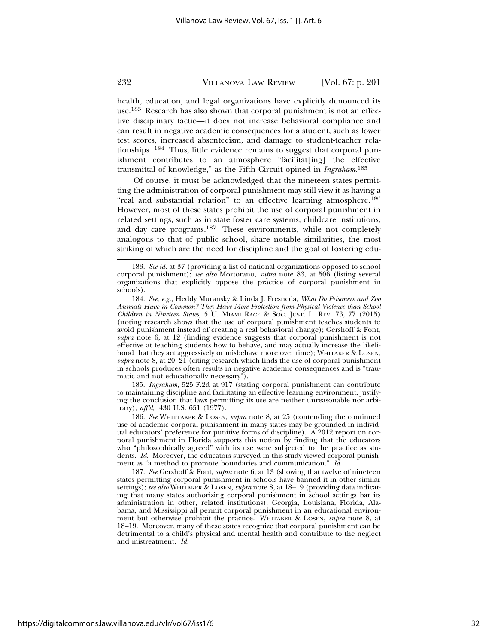health, education, and legal organizations have explicitly denounced its use.183 Research has also shown that corporal punishment is not an effective disciplinary tactic—it does not increase behavioral compliance and can result in negative academic consequences for a student, such as lower test scores, increased absenteeism, and damage to student-teacher relationships .184 Thus, little evidence remains to suggest that corporal punishment contributes to an atmosphere "facilitat[ing] the effective transmittal of knowledge," as the Fifth Circuit opined in *Ingraham*. 185

Of course, it must be acknowledged that the nineteen states permitting the administration of corporal punishment may still view it as having a "real and substantial relation" to an effective learning atmosphere.<sup>186</sup> However, most of these states prohibit the use of corporal punishment in related settings, such as in state foster care systems, childcare institutions, and day care programs.187 These environments, while not completely analogous to that of public school, share notable similarities, the most striking of which are the need for discipline and the goal of fostering edu-

185. *Ingraham*, 525 F.2d at 917 (stating corporal punishment can contribute to maintaining discipline and facilitating an effective learning environment, justifying the conclusion that laws permitting its use are neither unreasonable nor arbitrary), *aff'd*, 430 U.S. 651 (1977).

186. *See* WHITTAKER & LOSEN, *supra* note 8, at 25 (contending the continued use of academic corporal punishment in many states may be grounded in individual educators' preference for punitive forms of discipline). A 2012 report on corporal punishment in Florida supports this notion by finding that the educators who "philosophically agreed" with its use were subjected to the practice as students. *Id.* Moreover, the educators surveyed in this study viewed corporal punishment as "a method to promote boundaries and communication." *Id.*

187. *See* Gershoff & Font, *supra* note 6, at 13 (showing that twelve of nineteen states permitting corporal punishment in schools have banned it in other similar settings); *see also* WHITAKER & LOSEN, *supra* note 8, at 18–19 (providing data indicating that many states authorizing corporal punishment in school settings bar its administration in other, related institutions). Georgia, Louisiana, Florida, Alabama, and Mississippi all permit corporal punishment in an educational environment but otherwise prohibit the practice. WHITAKER & LOSEN, *supra* note 8, at 18–19. Moreover, many of these states recognize that corporal punishment can be detrimental to a child's physical and mental health and contribute to the neglect and mistreatment. *Id.*

<sup>183.</sup> *See id.* at 37 (providing a list of national organizations opposed to school corporal punishment); *see also* Mortorano, *supra* note 83, at 506 (listing several organizations that explicitly oppose the practice of corporal punishment in schools).

<sup>184.</sup> *See, e.g.*, Heddy Muransky & Linda J. Fresneda, *What Do Prisoners and Zoo Animals Have in Common? They Have More Protection from Physical Violence than School Children in Nineteen States*, 5 U. MIAMI RACE & SOC. JUST. L. REV. 73, 77 (2015) (noting research shows that the use of corporal punishment teaches students to avoid punishment instead of creating a real behavioral change); Gershoff & Font, *supra* note 6, at 12 (finding evidence suggests that corporal punishment is not effective at teaching students how to behave, and may actually increase the likelihood that they act aggressively or misbehave more over time); WHITAKER & LOSEN, *supra* note 8, at  $20-21$  (citing research which finds the use of corporal punishment in schools produces often results in negative academic consequences and is "traumatic and not educationally necessary").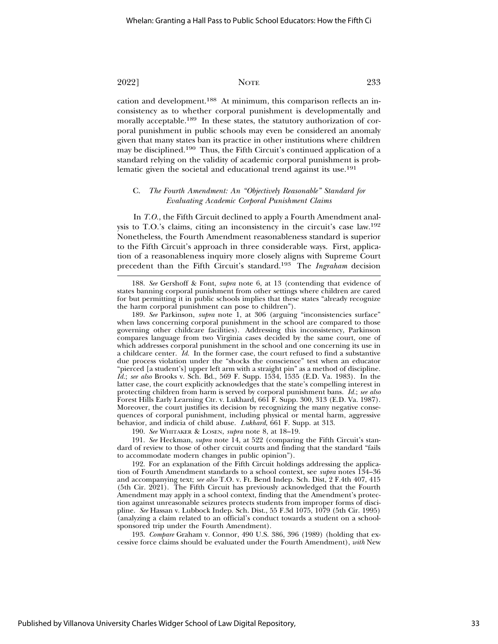cation and development.188 At minimum, this comparison reflects an inconsistency as to whether corporal punishment is developmentally and morally acceptable.<sup>189</sup> In these states, the statutory authorization of corporal punishment in public schools may even be considered an anomaly given that many states ban its practice in other institutions where children may be disciplined.190 Thus, the Fifth Circuit's continued application of a standard relying on the validity of academic corporal punishment is problematic given the societal and educational trend against its use.<sup>191</sup>

#### C. *The Fourth Amendment: An "Objectively Reasonable" Standard for Evaluating Academic Corporal Punishment Claims*

In *T.O.*, the Fifth Circuit declined to apply a Fourth Amendment analysis to T.O.'s claims, citing an inconsistency in the circuit's case law.192 Nonetheless, the Fourth Amendment reasonableness standard is superior to the Fifth Circuit's approach in three considerable ways. First, application of a reasonableness inquiry more closely aligns with Supreme Court precedent than the Fifth Circuit's standard.193 The *Ingraham* decision

190. *See* WHITAKER & LOSEN, *supra* note 8, at 18–19.

191. *See* Heckman, *supra* note 14, at 522 (comparing the Fifth Circuit's standard of review to those of other circuit courts and finding that the standard "fails to accommodate modern changes in public opinion").

192. For an explanation of the Fifth Circuit holdings addressing the application of Fourth Amendment standards to a school context, see *supra* notes 134–36 and accompanying text; *see also* T.O. v. Ft. Bend Indep. Sch. Dist, 2 F.4th 407, 415 (5th Cir. 2021). The Fifth Circuit has previously acknowledged that the Fourth Amendment may apply in a school context, finding that the Amendment's protection against unreasonable seizures protects students from improper forms of discipline. *See* Hassan v. Lubbock Indep. Sch. Dist., 55 F.3d 1075, 1079 (5th Cir. 1995) (analyzing a claim related to an official's conduct towards a student on a schoolsponsored trip under the Fourth Amendment).

193. *Compare* Graham v. Connor, 490 U.S. 386, 396 (1989) (holding that excessive force claims should be evaluated under the Fourth Amendment), *with* New

<sup>188.</sup> *See* Gershoff & Font, *supra* note 6, at 13 (contending that evidence of states banning corporal punishment from other settings where children are cared for but permitting it in public schools implies that these states "already recognize the harm corporal punishment can pose to children").

<sup>189.</sup> *See* Parkinson, *supra* note 1, at 306 (arguing "inconsistencies surface" when laws concerning corporal punishment in the school are compared to those governing other childcare facilities). Addressing this inconsistency, Parkinson compares language from two Virginia cases decided by the same court, one of which addresses corporal punishment in the school and one concerning its use in a childcare center. *Id.* In the former case, the court refused to find a substantive due process violation under the "shocks the conscience" test when an educator "pierced [a student's] upper left arm with a straight pin" as a method of discipline. *Id.*; *see also* Brooks v. Sch. Bd., 569 F. Supp. 1534, 1535 (E.D. Va. 1983). In the latter case, the court explicitly acknowledges that the state's compelling interest in protecting children from harm is served by corporal punishment bans. *Id.*; *see also* Forest Hills Early Learning Ctr. v. Lukhard, 661 F. Supp. 300, 313 (E.D. Va. 1987). Moreover, the court justifies its decision by recognizing the many negative consequences of corporal punishment, including physical or mental harm, aggressive behavior, and indicia of child abuse. *Lukhard*, 661 F. Supp. at 313.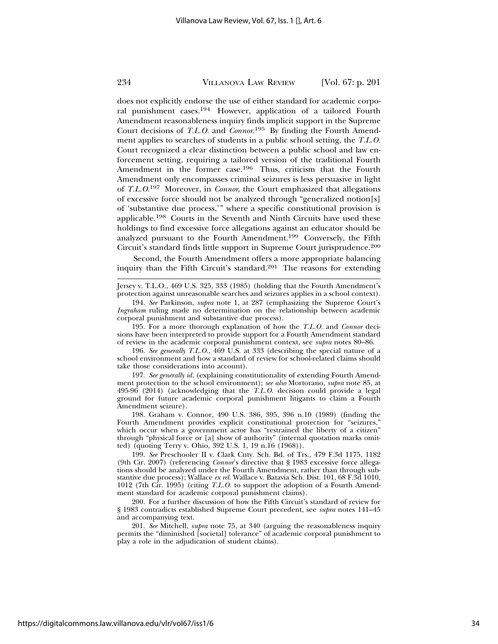does not explicitly endorse the use of either standard for academic corporal punishment cases.194 However, application of a tailored Fourth Amendment reasonableness inquiry finds implicit support in the Supreme Court decisions of *T.L.O.* and *Connor*. 195 By finding the Fourth Amendment applies to searches of students in a public school setting, the *T.L.O.* Court recognized a clear distinction between a public school and law enforcement setting, requiring a tailored version of the traditional Fourth Amendment in the former case.<sup>196</sup> Thus, criticism that the Fourth Amendment only encompasses criminal seizures is less persuasive in light of *T.L.O*. 197 Moreover, in *Connor*, the Court emphasized that allegations of excessive force should not be analyzed through "generalized notion[s] of 'substantive due process,'" where a specific constitutional provision is applicable.198 Courts in the Seventh and Ninth Circuits have used these holdings to find excessive force allegations against an educator should be analyzed pursuant to the Fourth Amendment.199 Conversely, the Fifth Circuit's standard finds little support in Supreme Court jurisprudence.200

Second, the Fourth Amendment offers a more appropriate balancing inquiry than the Fifth Circuit's standard.201 The reasons for extending

Jersey v. T.L.O., 469 U.S. 325, 333 (1985) (holding that the Fourth Amendment's protection against unreasonable searches and seizures applies in a school context).

194. *See* Parkinson, *supra* note 1, at 287 (emphasizing the Supreme Court's *Ingraham* ruling made no determination on the relationship between academic corporal punishment and substantive due process).

195. For a more thorough explanation of how the *T.L.O.* and *Connor* decisions have been interpreted to provide support for a Fourth Amendment standard of review in the academic corporal punishment context, see *supra* notes 80–86.

196. *See generally T.L.O.*, 469 U.S. at 333 (describing the special nature of a school environment and how a standard of review for school-related claims should take those considerations into account).

197. *See generally id.* (explaining constitutionality of extending Fourth Amendment protection to the school environment); *see also* Mortorano, *supra* note 85, at 495-96 (2014) (acknowledging that the *T.L.O.* decision could provide a legal ground for future academic corporal punishment litigants to claim a Fourth Amendment seizure).

198. Graham v. Connor, 490 U.S. 386, 395, 396 n.10 (1989) (finding the Fourth Amendment provides explicit constitutional protection for "seizures," which occur when a government actor has "restrained the liberty of a citizen" through "physical force or [a] show of authority" (internal quotation marks omitted) (quoting Terry v. Ohio, 392 U.S. 1, 19 n.16 (1968)).

199. *See* Preschooler II v. Clark Cnty. Sch. Bd. of Trs., 479 F.3d 1175, 1182 (9th Cir. 2007) (referencing *Connor*'s directive that § 1983 excessive force allegations should be analyzed under the Fourth Amendment, rather than through substantive due process); Wallace *ex rel.* Wallace v. Batavia Sch. Dist. 101, 68 F.3d 1010, 1012 (7th Cir. 1995) (citing *T.L.O.* to support the adoption of a Fourth Amendment standard for academic corporal punishment claims).

200. For a further discussion of how the Fifth Circuit's standard of review for § 1983 contradicts established Supreme Court precedent, see *supra* notes 141–45 and accompanying text.

201. *See* Mitchell, *supra* note 75, at 340 (arguing the reasonableness inquiry permits the "diminished [societal] tolerance" of academic corporal punishment to play a role in the adjudication of student claims).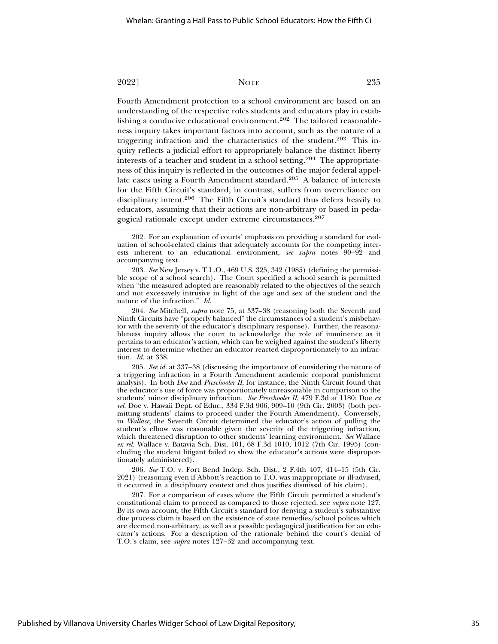Fourth Amendment protection to a school environment are based on an understanding of the respective roles students and educators play in establishing a conducive educational environment.<sup>202</sup> The tailored reasonableness inquiry takes important factors into account, such as the nature of a triggering infraction and the characteristics of the student.203 This inquiry reflects a judicial effort to appropriately balance the distinct liberty interests of a teacher and student in a school setting.204 The appropriateness of this inquiry is reflected in the outcomes of the major federal appellate cases using a Fourth Amendment standard.205 A balance of interests for the Fifth Circuit's standard, in contrast, suffers from overreliance on disciplinary intent.206 The Fifth Circuit's standard thus defers heavily to educators, assuming that their actions are non-arbitrary or based in pedagogical rationale except under extreme circumstances.207

203. *See* New Jersey v. T.L.O., 469 U.S. 325, 342 (1985) (defining the permissible scope of a school search). The Court specified a school search is permitted when "the measured adopted are reasonably related to the objectives of the search and not excessively intrusive in light of the age and sex of the student and the nature of the infraction." *Id.*

204. *See* Mitchell, *supra* note 75, at 337–38 (reasoning both the Seventh and Ninth Circuits have "properly balanced" the circumstances of a student's misbehavior with the severity of the educator's disciplinary response). Further, the reasonableness inquiry allows the court to acknowledge the role of imminence as it pertains to an educator's action, which can be weighed against the student's liberty interest to determine whether an educator reacted disproportionately to an infraction. *Id.* at 338.

205. *See id.* at 337–38 (discussing the importance of considering the nature of a triggering infraction in a Fourth Amendment academic corporal punishment analysis). In both *Doe* and *Preschooler II*, for instance, the Ninth Circuit found that the educator's use of force was proportionately unreasonable in comparison to the students' minor disciplinary infraction. *See Preschooler II*, 479 F.3d at 1180; Doe *ex rel.* Doe v. Hawaii Dept. of Educ., 334 F.3d 906, 909–10 (9th Cir. 2003) (both permitting students' claims to proceed under the Fourth Amendment). Conversely, in *Wallace*, the Seventh Circuit determined the educator's action of pulling the student's elbow was reasonable given the severity of the triggering infraction, which threatened disruption to other students' learning environment. *See* Wallace *ex rel.* Wallace v. Batavia Sch. Dist. 101, 68 F.3d 1010, 1012 (7th Cir. 1995) (concluding the student litigant failed to show the educator's actions were disproportionately administered).

206. *See* T.O. v. Fort Bend Indep. Sch. Dist., 2 F.4th 407, 414–15 (5th Cir. 2021) (reasoning even if Abbott's reaction to T.O. was inappropriate or ill-advised, it occurred in a disciplinary context and thus justifies dismissal of his claim).

207. For a comparison of cases where the Fifth Circuit permitted a student's constitutional claim to proceed as compared to those rejected, see *supra* note 127. By its own account, the Fifth Circuit's standard for denying a student's substantive due process claim is based on the existence of state remedies/school polices which are deemed non-arbitrary, as well as a possible pedagogical justification for an educator's actions. For a description of the rationale behind the court's denial of T.O.'s claim, see *supra* notes 127–32 and accompanying text.

<sup>202.</sup> For an explanation of courts' emphasis on providing a standard for evaluation of school-related claims that adequately accounts for the competing interests inherent to an educational environment, *see supra* notes 90–92 and accompanying text.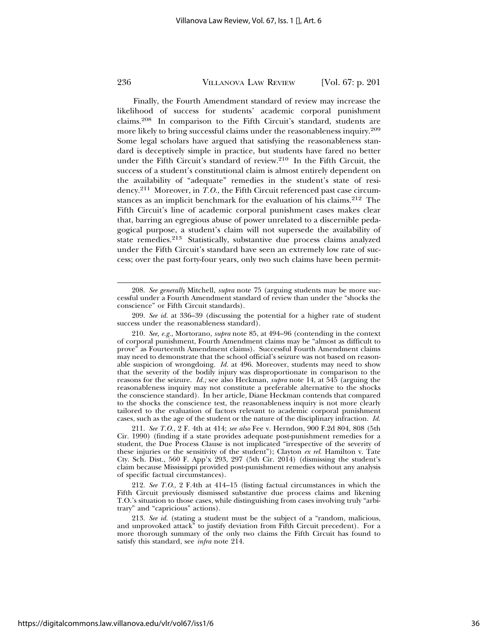Finally, the Fourth Amendment standard of review may increase the likelihood of success for students' academic corporal punishment claims.208 In comparison to the Fifth Circuit's standard, students are more likely to bring successful claims under the reasonableness inquiry.209 Some legal scholars have argued that satisfying the reasonableness standard is deceptively simple in practice, but students have fared no better under the Fifth Circuit's standard of review.210 In the Fifth Circuit, the success of a student's constitutional claim is almost entirely dependent on the availability of "adequate" remedies in the student's state of residency.211 Moreover, in *T.O.*, the Fifth Circuit referenced past case circumstances as an implicit benchmark for the evaluation of his claims.<sup>212</sup> The Fifth Circuit's line of academic corporal punishment cases makes clear that, barring an egregious abuse of power unrelated to a discernible pedagogical purpose, a student's claim will not supersede the availability of state remedies.<sup>213</sup> Statistically, substantive due process claims analyzed under the Fifth Circuit's standard have seen an extremely low rate of success; over the past forty-four years, only two such claims have been permit-

211. *See T.O.*, 2 F. 4th at 414; *see also* Fee v. Herndon, 900 F.2d 804, 808 (5th Cir. 1990) (finding if a state provides adequate post-punishment remedies for a student, the Due Process Clause is not implicated "irrespective of the severity of these injuries or the sensitivity of the student"); Clayton *ex rel.* Hamilton v. Tate Cty. Sch. Dist., 560 F. App'x 293, 297 (5th Cir. 2014) (dismissing the student's claim because Mississippi provided post-punishment remedies without any analysis of specific factual circumstances).

212. *See T.O*., 2 F.4th at 414–15 (listing factual circumstances in which the Fifth Circuit previously dismissed substantive due process claims and likening T.O.'s situation to those cases, while distinguishing from cases involving truly "arbitrary" and "capricious" actions).

213. *See id.* (stating a student must be the subject of a "random, malicious, and unprovoked attack" to justify deviation from Fifth Circuit precedent). For a more thorough summary of the only two claims the Fifth Circuit has found to satisfy this standard, see *infra* note 214.

<sup>208.</sup> *See generally* Mitchell, *supra* note 75 (arguing students may be more successful under a Fourth Amendment standard of review than under the "shocks the conscience" or Fifth Circuit standards).

<sup>209.</sup> *See id.* at 336–39 (discussing the potential for a higher rate of student success under the reasonableness standard).

<sup>210.</sup> *See, e.g.,* Mortorano, *supra* note 85, at 494–96 (contending in the context of corporal punishment, Fourth Amendment claims may be "almost as difficult to prove" as Fourteenth Amendment claims). Successful Fourth Amendment claims may need to demonstrate that the school official's seizure was not based on reasonable suspicion of wrongdoing. *Id.* at 496. Moreover, students may need to show that the severity of the bodily injury was disproportionate in comparison to the reasons for the seizure. *Id.;* see also Heckman, *supra* note 14, at 545 (arguing the reasonableness inquiry may not constitute a preferable alternative to the shocks the conscience standard). In her article, Diane Heckman contends that compared to the shocks the conscience test, the reasonableness inquiry is not more clearly tailored to the evaluation of factors relevant to academic corporal punishment cases, such as the age of the student or the nature of the disciplinary infraction. *Id.*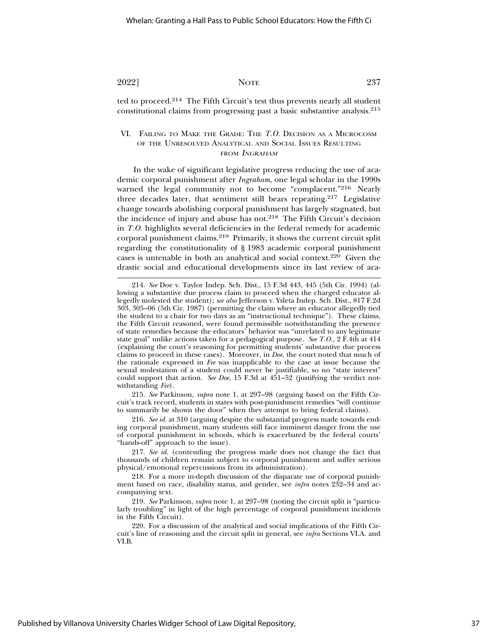ted to proceed.214 The Fifth Circuit's test thus prevents nearly all student constitutional claims from progressing past a basic substantive analysis.215

# VI. FAILING TO MAKE THE GRADE: THE *T.O.* DECISION AS A MICROCOSM OF THE UNRESOLVED ANALYTICAL AND SOCIAL ISSUES RESULTING FROM INGRAHAM

In the wake of significant legislative progress reducing the use of academic corporal punishment after *Ingraham*, one legal scholar in the 1990s warned the legal community not to become "complacent."<sup>216</sup> Nearly three decades later, that sentiment still bears repeating.<sup>217</sup> Legislative change towards abolishing corporal punishment has largely stagnated, but the incidence of injury and abuse has not.<sup>218</sup> The Fifth Circuit's decision in *T.O.* highlights several deficiencies in the federal remedy for academic corporal punishment claims.219 Primarily, it shows the current circuit split regarding the constitutionality of § 1983 academic corporal punishment cases is untenable in both an analytical and social context.220 Given the drastic social and educational developments since its last review of aca-

215. *See* Parkinson, *supra* note 1, at 297–98 (arguing based on the Fifth Circuit's track record, students in states with post-punishment remedies "will continue to summarily be shown the door" when they attempt to bring federal claims).

216. *See id.* at 310 (arguing despite the substantial progress made towards ending corporal punishment, many students still face imminent danger from the use of corporal punishment in schools, which is exacerbated by the federal courts' "hands-off" approach to the issue).

217. *See id.* (contending the progress made does not change the fact that thousands of children remain subject to corporal punishment and suffer serious physical/emotional repercussions from its administration).

218. For a more in-depth discussion of the disparate use of corporal punishment based on race, disability status, and gender, see *infra* notes 232–34 and accompanying text.

219. *See* Parkinson, *supra* note 1, at 297–98 (noting the circuit split is "particularly troubling" in light of the high percentage of corporal punishment incidents in the Fifth Circuit).

220. For a discussion of the analytical and social implications of the Fifth Circuit's line of reasoning and the circuit split in general, see *infra* Sections VI.A. and VI.B.

<sup>214.</sup> *See* Doe v. Taylor Indep. Sch. Dist., 15 F.3d 443, 445 (5th Cir. 1994) (allowing a substantive due process claim to proceed when the charged educator allegedly molested the student); *see also* Jefferson v. Ysleta Indep. Sch. Dist., 817 F.2d 303, 305–06 (5th Cir. 1987) (permitting the claim where an educator allegedly tied the student to a chair for two days as an "instructional technique"). These claims, the Fifth Circuit reasoned, were found permissible notwithstanding the presence of state remedies because the educators' behavior was "unrelated to any legitimate state goal" unlike actions taken for a pedagogical purpose. *See T.O.*, 2 F.4th at 414 (explaining the court's reasoning for permitting students' substantive due process claims to proceed in these cases). Moreover, in *Doe*, the court noted that much of the rationale expressed in *Fee* was inapplicable to the case at issue because the sexual molestation of a student could never be justifiable, so no "state interest" could support that action. *See Doe*, 15 F.3d at 451–52 (justifying the verdict notwithstanding *Fee*).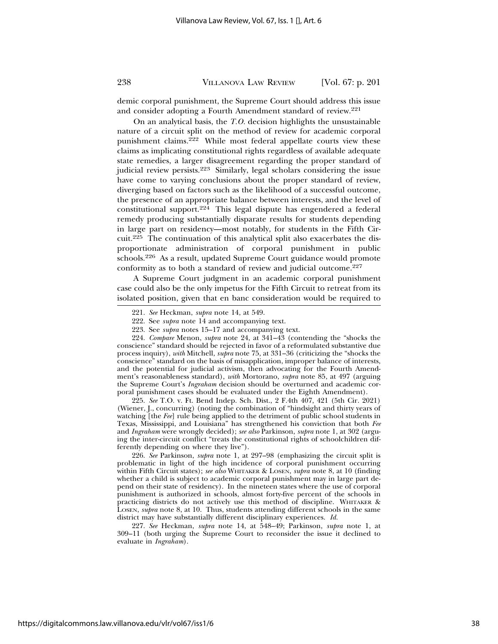demic corporal punishment, the Supreme Court should address this issue and consider adopting a Fourth Amendment standard of review.221

On an analytical basis, the *T.O.* decision highlights the unsustainable nature of a circuit split on the method of review for academic corporal punishment claims.222 While most federal appellate courts view these claims as implicating constitutional rights regardless of available adequate state remedies, a larger disagreement regarding the proper standard of judicial review persists.<sup>223</sup> Similarly, legal scholars considering the issue have come to varying conclusions about the proper standard of review, diverging based on factors such as the likelihood of a successful outcome, the presence of an appropriate balance between interests, and the level of constitutional support.224 This legal dispute has engendered a federal remedy producing substantially disparate results for students depending in large part on residency—most notably, for students in the Fifth Circuit.225 The continuation of this analytical split also exacerbates the disproportionate administration of corporal punishment in public schools.226 As a result, updated Supreme Court guidance would promote conformity as to both a standard of review and judicial outcome.227

A Supreme Court judgment in an academic corporal punishment case could also be the only impetus for the Fifth Circuit to retreat from its isolated position, given that en banc consideration would be required to

224. *Compare* Menon, *supra* note 24, at 341–43 (contending the "shocks the conscience" standard should be rejected in favor of a reformulated substantive due process inquiry), *with* Mitchell, *supra* note 75, at 331–36 (criticizing the "shocks the conscience" standard on the basis of misapplication, improper balance of interests, and the potential for judicial activism, then advocating for the Fourth Amendment's reasonableness standard), *with* Mortorano, *supra* note 85, at 497 (arguing the Supreme Court's *Ingraham* decision should be overturned and academic corporal punishment cases should be evaluated under the Eighth Amendment).

225. *See* T.O. v. Ft. Bend Indep. Sch. Dist., 2 F.4th 407, 421 (5th Cir. 2021) (Wiener, J., concurring) (noting the combination of "hindsight and thirty years of watching [the *Fee*] rule being applied to the detriment of public school students in Texas, Mississippi, and Louisiana" has strengthened his conviction that both *Fee* and *Ingraham* were wrongly decided); *see also* Parkinson, *supra* note 1, at 302 (arguing the inter-circuit conflict "treats the constitutional rights of schoolchildren differently depending on where they live").

226. *See* Parkinson, *supra* note 1, at 297–98 (emphasizing the circuit split is problematic in light of the high incidence of corporal punishment occurring within Fifth Circuit states); *see also* WHITAKER & LOSEN, *supra* note 8, at 10 (finding whether a child is subject to academic corporal punishment may in large part depend on their state of residency). In the nineteen states where the use of corporal punishment is authorized in schools, almost forty-five percent of the schools in practicing districts do not actively use this method of discipline. WHITAKER & LOSEN, *supra* note 8, at 10. Thus, students attending different schools in the same district may have substantially different disciplinary experiences. *Id.*

227. *See* Heckman, *supra* note 14, at 548–49; Parkinson, *supra* note 1, at 309–11 (both urging the Supreme Court to reconsider the issue it declined to evaluate in *Ingraham*).

<sup>221.</sup> *See* Heckman, *supra* note 14, at 549.

<sup>222.</sup> See *supra* note 14 and accompanying text.

<sup>223.</sup> See *supra* notes 15–17 and accompanying text.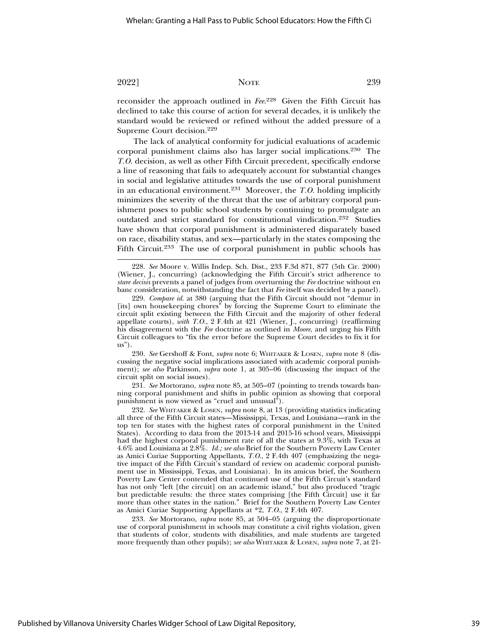reconsider the approach outlined in *Fee*. 228 Given the Fifth Circuit has declined to take this course of action for several decades, it is unlikely the standard would be reviewed or refined without the added pressure of a Supreme Court decision.229

The lack of analytical conformity for judicial evaluations of academic corporal punishment claims also has larger social implications.230 The *T.O.* decision, as well as other Fifth Circuit precedent, specifically endorse a line of reasoning that fails to adequately account for substantial changes in social and legislative attitudes towards the use of corporal punishment in an educational environment.231 Moreover, the *T.O.* holding implicitly minimizes the severity of the threat that the use of arbitrary corporal punishment poses to public school students by continuing to promulgate an outdated and strict standard for constitutional vindication.232 Studies have shown that corporal punishment is administered disparately based on race, disability status, and sex—particularly in the states composing the Fifth Circuit.<sup>233</sup> The use of corporal punishment in public schools has

230. *See* Gershoff & Font, *supra* note 6; WHITAKER & LOSEN, *supra* note 8 (discussing the negative social implications associated with academic corporal punishment); *see also* Parkinson, *supra* note 1, at 305–06 (discussing the impact of the circuit split on social issues).

231. *See* Mortorano, *supra* note 85, at 505–07 (pointing to trends towards banning corporal punishment and shifts in public opinion as showing that corporal punishment is now viewed as "cruel and unusual").

232. *See* WHITAKER & LOSEN, *supra* note 8, at 13 (providing statistics indicating all three of the Fifth Circuit states—Mississippi, Texas, and Louisiana—rank in the top ten for states with the highest rates of corporal punishment in the United States). According to data from the 2013-14 and 2015-16 school years, Mississippi had the highest corporal punishment rate of all the states at 9.3%, with Texas at 4.6% and Louisiana at 2.8%. *Id.; see also* Brief for the Southern Poverty Law Center as Amici Curiae Supporting Appellants, *T.O*., 2 F.4th 407 (emphasizing the negative impact of the Fifth Circuit's standard of review on academic corporal punishment use in Mississippi, Texas, and Louisiana). In its amicus brief, the Southern Poverty Law Center contended that continued use of the Fifth Circuit's standard has not only "left [the circuit] on an academic island," but also produced "tragic but predictable results: the three states comprising [the Fifth Circuit] use it far more than other states in the nation." Brief for the Southern Poverty Law Center as Amici Curiae Supporting Appellants at \*2, *T.O*., 2 F.4th 407.

233. *See* Mortorano, *supra* note 85, at 504–05 (arguing the disproportionate use of corporal punishment in schools may constitute a civil rights violation, given that students of color, students with disabilities, and male students are targeted more frequently than other pupils); *see also* WHITAKER & LOSEN, *supra* note 7, at 21-

<sup>228.</sup> *See* Moore v. Willis Indep. Sch. Dist., 233 F.3d 871, 877 (5th Cir. 2000) (Wiener, J., concurring) (acknowledging the Fifth Circuit's strict adherence to *stare decisis* prevents a panel of judges from overturning the *Fee* doctrine without en banc consideration, notwithstanding the fact that *Fee* itself was decided by a panel).

<sup>229.</sup> *Compare id.* at 380 (arguing that the Fifth Circuit should not "demur in [its] own housekeeping chores" by forcing the Supreme Court to eliminate the circuit split existing between the Fifth Circuit and the majority of other federal appellate courts), *with T.O.*, 2 F.4th at 421 (Wiener, J., concurring) (reaffirming his disagreement with the *Fee* doctrine as outlined in *Moore*, and urging his Fifth Circuit colleagues to "fix the error before the Supreme Court decides to fix it for us").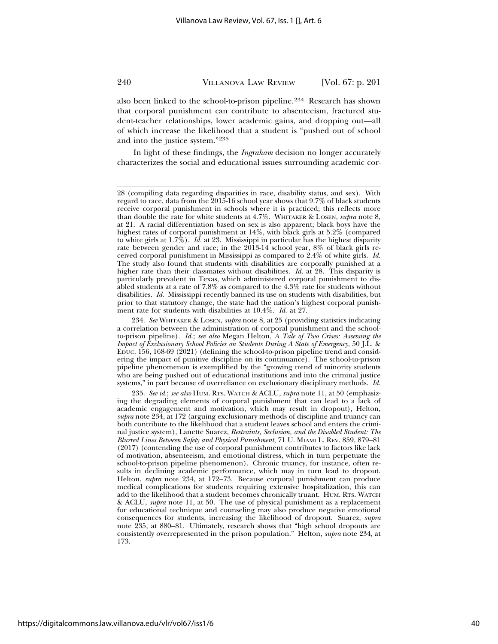also been linked to the school-to-prison pipeline.234 Research has shown that corporal punishment can contribute to absenteeism, fractured student-teacher relationships, lower academic gains, and dropping out—all of which increase the likelihood that a student is "pushed out of school and into the justice system."235

In light of these findings, the *Ingraham* decision no longer accurately characterizes the social and educational issues surrounding academic cor-

<sup>28 (</sup>compiling data regarding disparities in race, disability status, and sex). With regard to race, data from the 2015-16 school year shows that 9.7% of black students receive corporal punishment in schools where it is practiced; this reflects more than double the rate for white students at 4.7%. WHITAKER & LOSEN, *supra* note 8, at 21. A racial differentiation based on sex is also apparent; black boys have the highest rates of corporal punishment at 14%, with black girls at 5.2% (compared to white girls at 1.7%). *Id.* at 23. Mississippi in particular has the highest disparity rate between gender and race; in the 2013-14 school year, 8% of black girls received corporal punishment in Mississippi as compared to 2.4% of white girls. *Id.* The study also found that students with disabilities are corporally punished at a higher rate than their classmates without disabilities. *Id.* at 28. This disparity is particularly prevalent in Texas, which administered corporal punishment to disabled students at a rate of 7.8% as compared to the 4.3% rate for students without disabilities. *Id*. Mississippi recently banned its use on students with disabilities, but prior to that statutory change, the state had the nation's highest corporal punishment rate for students with disabilities at 10.4%. *Id.* at 27.

<sup>234.</sup> *See* WHITAKER & LOSEN, *supra* note 8, at 25 (providing statistics indicating a correlation between the administration of corporal punishment and the schoolto-prison pipeline). *Id.*; *see also* Megan Helton, *A Tale of Two Crises: Assessing the Impact of Exclusionary School Policies on Students During A State of Emergency*, 50 J.L. & EDUC. 156, 168-69 (2021) (defining the school-to-prison pipeline trend and considering the impact of punitive discipline on its continuance). The school-to-prison pipeline phenomenon is exemplified by the "growing trend of minority students who are being pushed out of educational institutions and into the criminal justice systems," in part because of overreliance on exclusionary disciplinary methods. *Id.*

<sup>235.</sup> *See id.*; *see also* HUM. RTS. WATCH & ACLU, *supra* note 11, at 50 (emphasizing the degrading elements of corporal punishment that can lead to a lack of academic engagement and motivation, which may result in dropout), Helton, *supra* note 234, at 172 (arguing exclusionary methods of discipline and truancy can both contribute to the likelihood that a student leaves school and enters the criminal justice system), Lanette Suarez, *Restraints, Seclusion, and the Disabled Student: The Blurred Lines Between Safety and Physical Punishment*, 71 U. MIAMI L. REV. 859, 879–81 (2017) (contending the use of corporal punishment contributes to factors like lack of motivation, absenteeism, and emotional distress, which in turn perpetuate the school-to-prison pipeline phenomenon). Chronic truancy, for instance, often results in declining academic performance, which may in turn lead to dropout. Helton, *supra* note 234, at 172–73. Because corporal punishment can produce medical complications for students requiring extensive hospitalization, this can add to the likelihood that a student becomes chronically truant. HUM. RTS. WATCH & ACLU, *supra* note 11, at 50. The use of physical punishment as a replacement for educational technique and counseling may also produce negative emotional consequences for students, increasing the likelihood of dropout. Suarez, *supra* note 235, at 880–81. Ultimately, research shows that "high school dropouts are consistently overrepresented in the prison population." Helton, *supra* note 234, at 173.